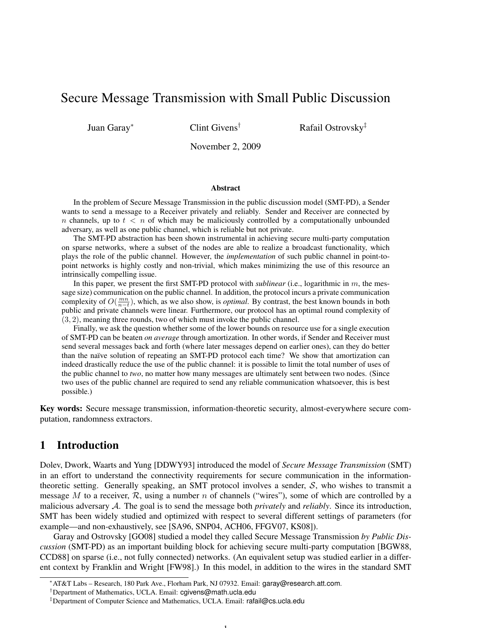# Secure Message Transmission with Small Public Discussion

Juan Garay<sup>∗</sup> Clint Givens† Rafail Ostrovsky‡

November 2, 2009

#### Abstract

In the problem of Secure Message Transmission in the public discussion model (SMT-PD), a Sender wants to send a message to a Receiver privately and reliably. Sender and Receiver are connected by n channels, up to  $t < n$  of which may be maliciously controlled by a computationally unbounded adversary, as well as one public channel, which is reliable but not private.

The SMT-PD abstraction has been shown instrumental in achieving secure multi-party computation on sparse networks, where a subset of the nodes are able to realize a broadcast functionality, which plays the role of the public channel. However, the *implementation* of such public channel in point-topoint networks is highly costly and non-trivial, which makes minimizing the use of this resource an intrinsically compelling issue.

In this paper, we present the first SMT-PD protocol with *sublinear* (i.e., logarithmic in m, the message size) communication on the public channel. In addition, the protocol incurs a private communication complexity of  $O(\frac{mn}{n-t})$ , which, as we also show, is *optimal*. By contrast, the best known bounds in both public and private channels were linear. Furthermore, our protocol has an optimal round complexity of (3, 2), meaning three rounds, two of which must invoke the public channel.

Finally, we ask the question whether some of the lower bounds on resource use for a single execution of SMT-PD can be beaten *on average* through amortization. In other words, if Sender and Receiver must send several messages back and forth (where later messages depend on earlier ones), can they do better than the naïve solution of repeating an SMT-PD protocol each time? We show that amortization can indeed drastically reduce the use of the public channel: it is possible to limit the total number of uses of the public channel to *two*, no matter how many messages are ultimately sent between two nodes. (Since two uses of the public channel are required to send any reliable communication whatsoever, this is best possible.)

Key words: Secure message transmission, information-theoretic security, almost-everywhere secure computation, randomness extractors.

### 1 Introduction

Dolev, Dwork, Waarts and Yung [DDWY93] introduced the model of *Secure Message Transmission* (SMT) in an effort to understand the connectivity requirements for secure communication in the informationtheoretic setting. Generally speaking, an SMT protocol involves a sender,  $S$ , who wishes to transmit a message M to a receiver, R, using a number n of channels ("wires"), some of which are controlled by a malicious adversary A. The goal is to send the message both *privately* and *reliably*. Since its introduction, SMT has been widely studied and optimized with respect to several different settings of parameters (for example—and non-exhaustively, see [SA96, SNP04, ACH06, FFGV07, KS08]).

Garay and Ostrovsky [GO08] studied a model they called Secure Message Transmission *by Public Discussion* (SMT-PD) as an important building block for achieving secure multi-party computation [BGW88, CCD88] on sparse (i.e., not fully connected) networks. (An equivalent setup was studied earlier in a different context by Franklin and Wright [FW98].) In this model, in addition to the wires in the standard SMT

1

<sup>∗</sup>AT&T Labs – Research, 180 Park Ave., Florham Park, NJ 07932. Email: garay@research.att.com.

<sup>†</sup>Department of Mathematics, UCLA. Email: cgivens@math.ucla.edu

<sup>‡</sup>Department of Computer Science and Mathematics, UCLA. Email: rafail@cs.ucla.edu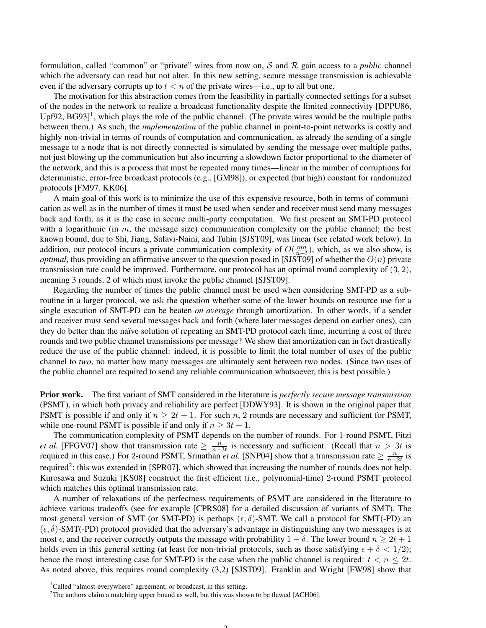formulation, called "common" or "private" wires from now on, S and R gain access to a *public* channel which the adversary can read but not alter. In this new setting, secure message transmission is achievable even if the adversary corrupts up to  $t < n$  of the private wires—i.e., up to all but one.

The motivation for this abstraction comes from the feasibility in partially connected settings for a subset of the nodes in the network to realize a broadcast functionality despite the limited connectivity [DPPU86, Upf92, BG93]<sup>1</sup>, which plays the role of the public channel. (The private wires would be the multiple paths between them.) As such, the *implementation* of the public channel in point-to-point networks is costly and highly non-trivial in terms of rounds of computation and communication, as already the sending of a single message to a node that is not directly connected is simulated by sending the message over multiple paths, not just blowing up the communication but also incurring a slowdown factor proportional to the diameter of the network, and this is a process that must be repeated many times—linear in the number of corruptions for deterministic, error-free broadcast protocols (e.g., [GM98]), or expected (but high) constant for randomized protocols [FM97, KK06].

A main goal of this work is to minimize the use of this expensive resource, both in terms of communication as well as in the number of times it must be used when sender and receiver must send many messages back and forth, as it is the case in secure multi-party computation. We first present an SMT-PD protocol with a logarithmic (in  $m$ , the message size) communication complexity on the public channel; the best known bound, due to Shi, Jiang, Safavi-Naini, and Tuhin [SJST09], was linear (see related work below). In addition, our protocol incurs a private communication complexity of  $O(\frac{mn}{n-t})$ , which, as we also show, is *optimal*, thus providing an affirmative answer to the question posed in [SJST09] of whether the  $O(n)$  private transmission rate could be improved. Furthermore, our protocol has an optimal round complexity of  $(3, 2)$ , meaning 3 rounds, 2 of which must invoke the public channel [SJST09].

Regarding the number of times the public channel must be used when considering SMT-PD as a subroutine in a larger protocol, we ask the question whether some of the lower bounds on resource use for a single execution of SMT-PD can be beaten *on average* through amortization. In other words, if a sender and receiver must send several messages back and forth (where later messages depend on earlier ones), can they do better than the naïve solution of repeating an SMT-PD protocol each time, incurring a cost of three rounds and two public channel transmissions per message? We show that amortization can in fact drastically reduce the use of the public channel: indeed, it is possible to limit the total number of uses of the public channel to *two*, no matter how many messages are ultimately sent between two nodes. (Since two uses of the public channel are required to send any reliable communication whatsoever, this is best possible.)

Prior work. The first variant of SMT considered in the literature is *perfectly secure message transmission* (PSMT), in which both privacy and reliability are perfect [DDWY93]. It is shown in the original paper that PSMT is possible if and only if  $n \geq 2t + 1$ . For such n, 2 rounds are necessary and sufficient for PSMT, while one-round PSMT is possible if and only if  $n \geq 3t + 1$ .

The communication complexity of PSMT depends on the number of rounds. For 1-round PSMT, Fitzi *et al.* [FFGV07] show that transmission rate  $\geq \frac{n}{n-3t}$  is necessary and sufficient. (Recall that  $n > 3t$  is required in this case.) For 2-round PSMT, Srinathan *et al.* [SNP04] show that a transmission rate  $\geq \frac{n}{n-2t}$  is required<sup>2</sup>; this was extended in [SPR07], which showed that increasing the number of rounds does not help. Kurosawa and Suzuki [KS08] construct the first efficient (i.e., polynomial-time) 2-round PSMT protocol which matches this optimal transmission rate.

A number of relaxations of the perfectness requirements of PSMT are considered in the literature to achieve various tradeoffs (see for example [CPRS08] for a detailed discussion of variants of SMT). The most general version of SMT (or SMT-PD) is perhaps ( $\epsilon$ ,  $\delta$ )-SMT. We call a protocol for SMT(-PD) an  $(\epsilon, \delta)$ -SMT(-PD) protocol provided that the adversary's advantage in distinguishing any two messages is at most  $\epsilon$ , and the receiver correctly outputs the message with probability  $1 - \delta$ . The lower bound  $n \geq 2t + 1$ holds even in this general setting (at least for non-trivial protocols, such as those satisfying  $\epsilon + \delta < 1/2$ ); hence the most interesting case for SMT-PD is the case when the public channel is required:  $t < n \leq 2t$ . As noted above, this requires round complexity (3,2) [SJST09]. Franklin and Wright [FW98] show that

 ${}^{1}$ Called "almost-everywhere" agreement, or broadcast, in this setting.

 $2$ The authors claim a matching upper bound as well, but this was shown to be flawed [ACH06].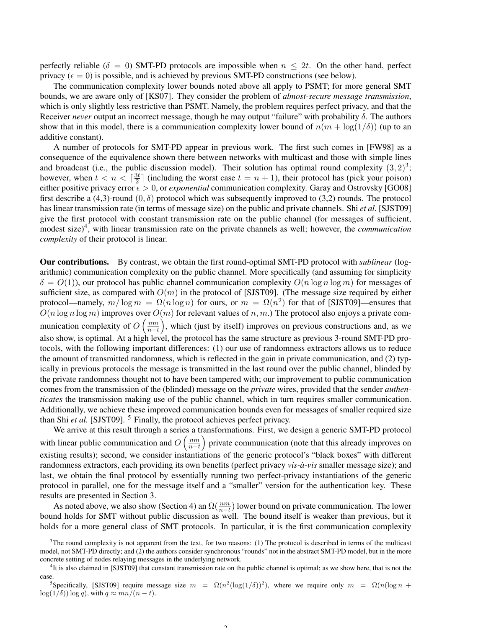perfectly reliable ( $\delta = 0$ ) SMT-PD protocols are impossible when  $n \leq 2t$ . On the other hand, perfect privacy ( $\epsilon = 0$ ) is possible, and is achieved by previous SMT-PD constructions (see below).

The communication complexity lower bounds noted above all apply to PSMT; for more general SMT bounds, we are aware only of [KS07]. They consider the problem of *almost-secure message transmission*, which is only slightly less restrictive than PSMT. Namely, the problem requires perfect privacy, and that the Receiver *never* output an incorrect message, though he may output "failure" with probability  $\delta$ . The authors show that in this model, there is a communication complexity lower bound of  $n(m + \log(1/\delta))$  (up to an additive constant).

A number of protocols for SMT-PD appear in previous work. The first such comes in [FW98] as a consequence of the equivalence shown there between networks with multicast and those with simple lines and broadcast (i.e., the public discussion model). Their solution has optimal round complexity  $(3,2)^3$ ; however, when  $t < n < \lceil \frac{3t}{2} \rceil$  $\frac{3t}{2}$  (including the worst case  $t = n + 1$ ), their protocol has (pick your poison) either positive privacy error  $\epsilon > 0$ , or *exponential* communication complexity. Garay and Ostrovsky [GO08] first describe a (4,3)-round  $(0, \delta)$  protocol which was subsequently improved to (3,2) rounds. The protocol has linear transmission rate (in terms of message size) on the public and private channels. Shi *et al.* [SJST09] give the first protocol with constant transmission rate on the public channel (for messages of sufficient, modest size)<sup>4</sup>, with linear transmission rate on the private channels as well; however, the *communication complexity* of their protocol is linear.

Our contributions. By contrast, we obtain the first round-optimal SMT-PD protocol with *sublinear* (logarithmic) communication complexity on the public channel. More specifically (and assuming for simplicity  $\delta = O(1)$ , our protocol has public channel communication complexity  $O(n \log n \log m)$  for messages of sufficient size, as compared with  $O(m)$  in the protocol of [SJST09]. (The message size required by either protocol—namely,  $m/\log m = \Omega(n \log n)$  for ours, or  $m = \Omega(n^2)$  for that of [SJST09]—ensures that  $O(n \log n \log m)$  improves over  $O(m)$  for relevant values of  $n, m$ .) The protocol also enjoys a private communication complexity of  $O\left(\frac{nm}{n-t}\right)$ , which (just by itself) improves on previous constructions and, as we also show, is optimal. At a high level, the protocol has the same structure as previous 3-round SMT-PD protocols, with the following important differences: (1) our use of randomness extractors allows us to reduce the amount of transmitted randomness, which is reflected in the gain in private communication, and (2) typically in previous protocols the message is transmitted in the last round over the public channel, blinded by the private randomness thought not to have been tampered with; our improvement to public communication comes from the transmission of the (blinded) message on the *private* wires, provided that the sender *authenticates* the transmission making use of the public channel, which in turn requires smaller communication. Additionally, we achieve these improved communication bounds even for messages of smaller required size than Shi *et al.* [SJST09]. <sup>5</sup> Finally, the protocol achieves perfect privacy.

We arrive at this result through a series a transformations. First, we design a generic SMT-PD protocol with linear public communication and  $O\left(\frac{nm}{n-t}\right)$  private communication (note that this already improves on existing results); second, we consider instantiations of the generic protocol's "black boxes" with different randomness extractors, each providing its own benefits (perfect privacy *vis-a-vis `* smaller message size); and last, we obtain the final protocol by essentially running two perfect-privacy instantiations of the generic protocol in parallel, one for the message itself and a "smaller" version for the authentication key. These results are presented in Section 3.

As noted above, we also show (Section 4) an  $\Omega(\frac{nm}{n-t})$  lower bound on private communication. The lower bound holds for SMT without public discussion as well. The bound itself is weaker than previous, but it holds for a more general class of SMT protocols. In particular, it is the first communication complexity

 $3$ The round complexity is not apparent from the text, for two reasons: (1) The protocol is described in terms of the multicast model, not SMT-PD directly; and (2) the authors consider synchronous "rounds" not in the abstract SMT-PD model, but in the more concrete setting of nodes relaying messages in the underlying network.

 ${}^{4}$ It is also claimed in [SJST09] that constant transmission rate on the public channel is optimal; as we show here, that is not the case.

<sup>&</sup>lt;sup>5</sup>Specifically, [SJST09] require message size  $m = \Omega(n^2(\log(1/\delta))^2)$ , where we require only  $m = \Omega(n(\log n + \delta))$  $\log(1/\delta)$ )  $\log q$ ), with  $q \approx mn/(n-t)$ .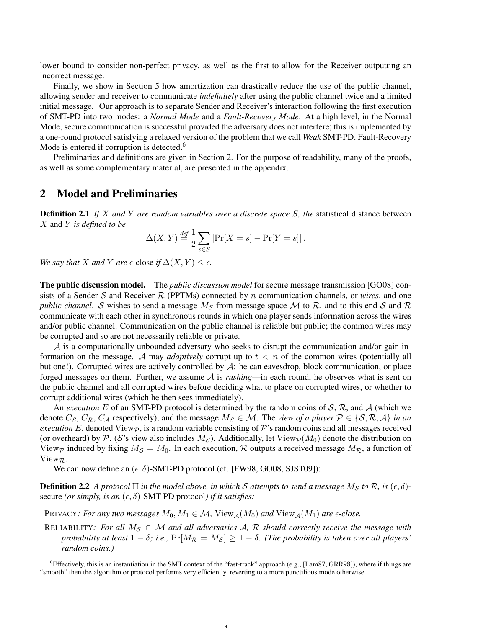lower bound to consider non-perfect privacy, as well as the first to allow for the Receiver outputting an incorrect message.

Finally, we show in Section 5 how amortization can drastically reduce the use of the public channel, allowing sender and receiver to communicate *indefinitely* after using the public channel twice and a limited initial message. Our approach is to separate Sender and Receiver's interaction following the first execution of SMT-PD into two modes: a *Normal Mode* and a *Fault-Recovery Mode*. At a high level, in the Normal Mode, secure communication is successful provided the adversary does not interfere; this is implemented by a one-round protocol satisfying a relaxed version of the problem that we call *Weak* SMT-PD. Fault-Recovery Mode is entered if corruption is detected.<sup>6</sup>

Preliminaries and definitions are given in Section 2. For the purpose of readability, many of the proofs, as well as some complementary material, are presented in the appendix.

# 2 Model and Preliminaries

Definition 2.1 *If* X *and* Y *are random variables over a discrete space* S*, the* statistical distance between X and Y *is defined to be*

$$
\Delta(X,Y) \stackrel{\text{def}}{=} \frac{1}{2} \sum_{s \in S} |\Pr[X=s] - \Pr[Y=s]|.
$$

*We say that X and Y are*  $\epsilon$ -close *if*  $\Delta(X, Y) \leq \epsilon$ .

The public discussion model. The *public discussion model* for secure message transmission [GO08] consists of a Sender S and Receiver R (PPTMs) connected by n communication channels, or *wires*, and one *public channel.* S wishes to send a message  $M<sub>S</sub>$  from message space M to R, and to this end S and R. communicate with each other in synchronous rounds in which one player sends information across the wires and/or public channel. Communication on the public channel is reliable but public; the common wires may be corrupted and so are not necessarily reliable or private.

 $A$  is a computationally unbounded adversary who seeks to disrupt the communication and/or gain information on the message. A may *adaptively* corrupt up to  $t < n$  of the common wires (potentially all but one!). Corrupted wires are actively controlled by  $A$ : he can eavesdrop, block communication, or place forged messages on them. Further, we assume A is *rushing*—in each round, he observes what is sent on the public channel and all corrupted wires before deciding what to place on corrupted wires, or whether to corrupt additional wires (which he then sees immediately).

An *execution* E of an SMT-PD protocol is determined by the random coins of  $S$ ,  $R$ , and  $A$  (which we denote  $C_S$ ,  $C_R$ ,  $C_A$  respectively), and the message  $M_S \in \mathcal{M}$ . The *view of a player*  $P \in \{S, R, A\}$  *in an execution* E, denoted View<sub>P</sub>, is a random variable consisting of P's random coins and all messages received (or overheard) by P. (S's view also includes  $M<sub>S</sub>$ ). Additionally, let View $p(M<sub>0</sub>)$  denote the distribution on Viewp induced by fixing  $M_S = M_0$ . In each execution, R outputs a received message  $M_R$ , a function of View<sub> $\mathcal{R}$ </sub>.

We can now define an  $(\epsilon, \delta)$ -SMT-PD protocol (cf. [FW98, GO08, SJST09]):

**Definition 2.2** A protocol  $\Pi$  *in the model above, in which* S attempts to send a message  $M_S$  to  $\mathcal{R}$ , is  $(\epsilon, \delta)$ secure *(or simply, is an*  $(\epsilon, \delta)$ -SMT-PD protocol*)* if it satisfies:

PRIVACY*: For any two messages*  $M_0, M_1 \in \mathcal{M}$ , View<sub>A</sub> $(M_0)$  *and* View<sub>A</sub> $(M_1)$  *are*  $\epsilon$ -close.

RELIABILITY: For all  $M_S \in \mathcal{M}$  and all adversaries A, R should correctly receive the message with *probability at least*  $1 - \delta$ ; *i.e.*,  $Pr[M_{\mathcal{R}} = M_{\mathcal{S}}] \ge 1 - \delta$ . (The probability is taken over all players' *random coins.)*

<sup>&</sup>lt;sup>6</sup>Effectively, this is an instantiation in the SMT context of the "fast-track" approach (e.g., [Lam87, GRR98]), where if things are "smooth" then the algorithm or protocol performs very efficiently, reverting to a more punctilious mode otherwise.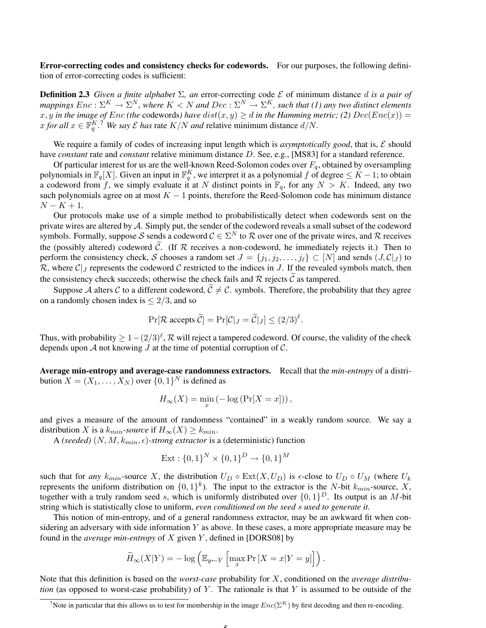Error-correcting codes and consistency checks for codewords. For our purposes, the following definition of error-correcting codes is sufficient:

Definition 2.3 *Given a finite alphabet* Σ*, an* error-correcting code E of minimum distance d *is a pair of mappings*  $Enc: \Sigma^K \to \Sigma^N$ , where  $K < N$  and  $Dec: \Sigma^N \to \Sigma^K$ , such that (1) any two distinct elements x, y in the image of Enc (the codewords) have  $dist(x, y) \geq d$  in the Hamming metric; (2)  $Dec(Enc(x))$  = x for all  $x \in \mathbb{F}_q^K$ .<sup>7</sup> We say  $\mathcal E$  has rate  $K/N$  and relative minimum distance  $d/N$ .

We require a family of codes of increasing input length which is *asymptotically good*, that is,  $\mathcal E$  should have *constant* rate and *constant* relative minimum distance D. See, e.g., [MS83] for a standard reference.

Of particular interest for us are the well-known Reed-Solomon codes over  $F_q$ , obtained by oversampling polynomials in  $\mathbb{F}_q[X]$ . Given an input in  $\mathbb{F}_q^K$ , we interpret it as a polynomial f of degree  $\leq K-1$ ; to obtain a codeword from f, we simply evaluate it at N distinct points in  $\mathbb{F}_q$ , for any  $N > K$ . Indeed, any two such polynomials agree on at most  $K - 1$  points, therefore the Reed-Solomon code has minimum distance  $N - K + 1$ .

Our protocols make use of a simple method to probabilistically detect when codewords sent on the private wires are altered by A. Simply put, the sender of the codeword reveals a small subset of the codeword symbols. Formally, suppose S sends a codeword  $C \in \Sigma^N$  to R over one of the private wires, and R receives the (possibly altered) codeword  $\tilde{C}$ . (If R receives a non-codeword, he immediately rejects it.) Then to perform the consistency check, S chooses a random set  $J = \{j_1, j_2, \ldots, j_\ell\} \subset [N]$  and sends  $(J, \mathcal{C}|_J)$  to  $\mathcal{R}$ , where  $\mathcal{C}|_J$  represents the codeword C restricted to the indices in J. If the revealed symbols match, then the consistency check succeeds; otherwise the check fails and  $R$  rejects  $\tilde{C}$  as tampered.

Suppose A alters C to a different codeword,  $\widetilde{C} \neq C$ . symbols. Therefore, the probability that they agree on a randomly chosen index is  $\leq$  2/3, and so

$$
\Pr[\mathcal{R}\text{ accepts }\widetilde{\mathcal{C}}] = \Pr[\mathcal{C}|_J = \widetilde{\mathcal{C}}|_J] \le (2/3)^{\ell}.
$$

Thus, with probability  $\geq 1-(2/3)^{\ell}$ ,  $\mathcal R$  will reject a tampered codeword. Of course, the validity of the check depends upon  $A$  not knowing  $J$  at the time of potential corruption of  $C$ .

Average min-entropy and average-case randomness extractors. Recall that the *min-entropy* of a distribution  $X = (X_1, \ldots, X_N)$  over  $\{0, 1\}^N$  is defined as

$$
H_{\infty}(X) = \min_{x} \left( -\log \left( \Pr[X = x] \right) \right),\,
$$

and gives a measure of the amount of randomness "contained" in a weakly random source. We say a distribution X is a  $k_{min}$ -source if  $H_{\infty}(X) \geq k_{min}$ .

A *(seeded)*  $(N, M, k_{min}, \epsilon)$ -strong extractor is a (deterministic) function

$$
Ext: \{0,1\}^N \times \{0,1\}^D \to \{0,1\}^M
$$

such that for *any*  $k_{min}$ -source X, the distribution  $U_D \circ \text{Ext}(X, U_D)$  is  $\epsilon$ -close to  $U_D \circ U_M$  (where  $U_k$ represents the uniform distribution on  $\{0,1\}^k$ ). The input to the extractor is the N-bit  $k_{min}$ -source, X, together with a truly random seed s, which is uniformly distributed over  $\{0,1\}^D$ . Its output is an M-bit string which is statistically close to uniform, *even conditioned on the seed* s *used to generate it.*

This notion of min-entropy, and of a general randomness extractor, may be an awkward fit when considering an adversary with side information Y as above. In these cases, a more appropriate measure may be found in the *average min-entropy* of X given Y , defined in [DORS08] by

$$
\widetilde{H}_{\infty}(X|Y) = -\log\left(\mathbb{E}_{y \leftarrow Y}\left[\max_{x} \Pr\left[X = x | Y = y\right]\right]\right).
$$

Note that this definition is based on the *worst-case* probability for X, conditioned on the *average distribution* (as opposed to worst-case probability) of Y. The rationale is that Y is assumed to be outside of the

<sup>&</sup>lt;sup>7</sup>Note in particular that this allows us to test for membership in the image  $Enc(\Sigma^K)$  by first decoding and then re-encoding.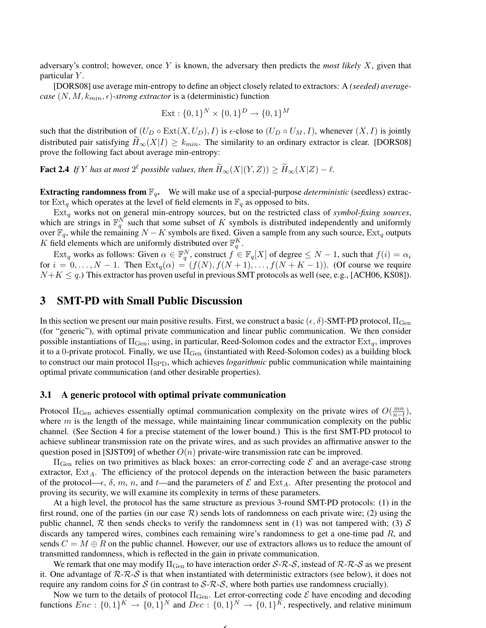adversary's control; however, once Y is known, the adversary then predicts the *most likely* X, given that particular Y .

[DORS08] use average min-entropy to define an object closely related to extractors: A *(seeded) averagecase*  $(N, M, k_{min}, \epsilon)$ -strong extractor is a (deterministic) function

$$
Ext: \{0, 1\}^N \times \{0, 1\}^D \to \{0, 1\}^M
$$

such that the distribution of  $(U_D \circ Ext(X, U_D), I)$  is  $\epsilon$ -close to  $(U_D \circ U_M, I)$ , whenever  $(X, I)$  is jointly distributed pair satisfying  $H_{\infty}(X|I) \geq k_{min}$ . The similarity to an ordinary extractor is clear. [DORS08] prove the following fact about average min-entropy:

**Fact 2.4** If Y has at most  $2^{\ell}$  possible values, then  $\widetilde{H}_{\infty}(X | (Y,Z)) \ge \widetilde{H}_{\infty}(X | Z) - \ell$ .

**Extracting randomness from**  $\mathbb{F}_q$ . We will make use of a special-purpose *deterministic* (seedless) extractor  $Ext<sub>a</sub>$  which operates at the level of field elements in  $\mathbb{F}_q$  as opposed to bits.

Ext<sup>q</sup> works not on general min-entropy sources, but on the restricted class of *symbol-fixing sources*, which are strings in  $\mathbb{F}_q^N$  such that some subset of K symbols is distributed independently and uniformly over  $\mathbb{F}_q$ , while the remaining  $N - K$  symbols are fixed. Given a sample from any such source,  $\text{Ext}_q$  outputs K field elements which are uniformly distributed over  $\mathbb{F}_q^K$ .

Ext<sub>q</sub> works as follows: Given  $\alpha \in \mathbb{F}_q^N$ , construct  $f \in \mathbb{F}_q[X]$  of degree  $\leq N-1$ , such that  $f(i) = \alpha_i$ for  $i = 0, \ldots, N - 1$ . Then  $\text{Ext}_q(\alpha) = (f(N), f(N + 1), \ldots, f(N + K - 1))$ . (Of course we require  $N + K \leq q$ .) This extractor has proven useful in previous SMT protocols as well (see, e.g., [ACH06, KS08]).

### 3 SMT-PD with Small Public Discussion

In this section we present our main positive results. First, we construct a basic ( $\epsilon$ ,  $\delta$ )-SMT-PD protocol,  $\Pi_{Gen}$ (for "generic"), with optimal private communication and linear public communication. We then consider possible instantiations of  $\Pi_{Gen}$ ; using, in particular, Reed-Solomon codes and the extractor  $Ext_q$ , improves it to a 0-private protocol. Finally, we use  $\Pi_{Gen}$  (instantiated with Reed-Solomon codes) as a building block to construct our main protocol ΠSPD, which achieves *logarithmic* public communication while maintaining optimal private communication (and other desirable properties).

### 3.1 A generic protocol with optimal private communication

Protocol  $\Pi_{Gen}$  achieves essentially optimal communication complexity on the private wires of  $O(\frac{mn}{n-t})$ , where  $m$  is the length of the message, while maintaining linear communication complexity on the public channel. (See Section 4 for a precise statement of the lower bound.) This is the first SMT-PD protocol to achieve sublinear transmission rate on the private wires, and as such provides an affirmative answer to the question posed in [SJST09] of whether  $O(n)$  private-wire transmission rate can be improved.

 $\Pi_{\text{Gen}}$  relies on two primitives as black boxes: an error-correcting code  $\mathcal E$  and an average-case strong extractor,  $Ext_A$ . The efficiency of the protocol depends on the interaction between the basic parameters of the protocol— $\epsilon$ ,  $\delta$ , m, n, and t—and the parameters of  $\mathcal E$  and Ext<sub>A</sub>. After presenting the protocol and proving its security, we will examine its complexity in terms of these parameters.

At a high level, the protocol has the same structure as previous 3-round SMT-PD protocols: (1) in the first round, one of the parties (in our case  $R$ ) sends lots of randomness on each private wire; (2) using the public channel, R then sends checks to verify the randomness sent in (1) was not tampered with; (3) S discards any tampered wires, combines each remaining wire's randomness to get a one-time pad  $R$ , and sends  $C = M \oplus R$  on the public channel. However, our use of extractors allows us to reduce the amount of transmitted randomness, which is reflected in the gain in private communication.

We remark that one may modify  $\Pi_{\text{Gen}}$  to have interaction order S-R-S, instead of R-R-S as we present it. One advantage of  $\mathcal{R}\text{-}\mathcal{R}\text{-}\mathcal{S}$  is that when instantiated with deterministic extractors (see below), it does not require any random coins for S (in contrast to  $S$ -R-S, where both parties use randomness crucially).

Now we turn to the details of protocol  $\Pi_{\rm Gen}$ . Let error-correcting code  ${\cal E}$  have encoding and decoding functions  $Enc: \{0,1\}^K \to \{0,1\}^N$  and  $Dec: \{0,1\}^N \to \{0,1\}^K$ , respectively, and relative minimum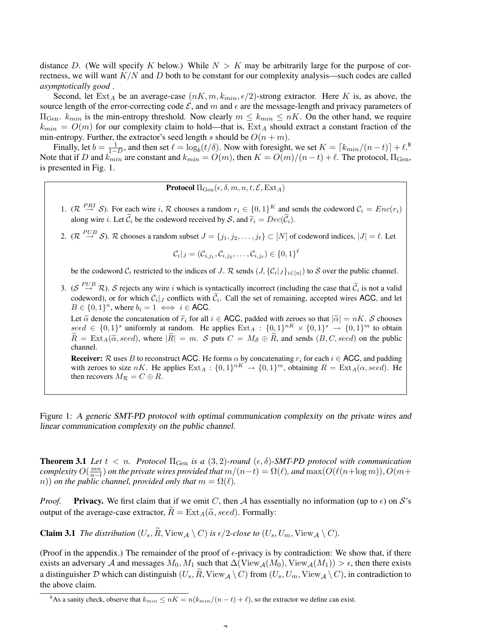distance D. (We will specify K below.) While  $N > K$  may be arbitrarily large for the purpose of correctness, we will want  $K/N$  and D both to be constant for our complexity analysis—such codes are called *asymptotically good* .

Second, let  $Ext_A$  be an average-case  $(nK, m, k_{min}, \epsilon/2)$ -strong extractor. Here K is, as above, the source length of the error-correcting code  $\mathcal{E}$ , and m and  $\epsilon$  are the message-length and privacy parameters of  $\Pi_{\text{Gen}}$ .  $k_{min}$  is the min-entropy threshold. Now clearly  $m \leq k_{min} \leq nK$ . On the other hand, we require  $k_{min} = O(m)$  for our complexity claim to hold—that is,  $Ext_A$  should extract a constant fraction of the min-entropy. Further, the extractor's seed length s should be  $O(n + m)$ .

Finally, let  $b = \frac{1}{1-D}$ , and then set  $\ell = \log_b(t/\delta)$ . Now with foresight, we set  $K = \lceil k_{min}/(n-t) \rceil + \ell$ .<sup>8</sup> Note that if D and  $k_{min}$  are constant and  $k_{min} = O(m)$ , then  $K = O(m)/(n - t) + \ell$ . The protocol,  $\Pi_{Gen}$ , is presented in Fig. 1.

## **Protocol**  $\Pi_{Gen}(\epsilon, \delta, m, n, t, \mathcal{E}, \text{Ext}_{A})$

- 1.  $(\mathcal{R}^{\text{PRI}} \to S)$ . For each wire i,  $\mathcal{R}$  chooses a random  $r_i \in \{0,1\}^K$  and sends the codeword  $\mathcal{C}_i = Enc(r_i)$ along wire *i*. Let  $\widetilde{C}_i$  be the codeword received by S, and  $\widetilde{r}_i = Dec(\widetilde{C}_i)$ .
- 2.  $(\mathcal{R} \stackrel{PUB}{\rightarrow} \mathcal{S})$ .  $\mathcal{R}$  chooses a random subset  $J = \{j_1, j_2, \ldots, j_\ell\} \subset [N]$  of codeword indices,  $|J| = \ell$ . Let

 $\mathcal{C}_i|_J=(\mathcal{C}_{i,j_1},\mathcal{C}_{i,j_2},\ldots,\mathcal{C}_{i,j_\ell})\in\{0,1\}^\ell$ 

be the codeword  $C_i$  restricted to the indices of J. R sends  $(J, \{C_i | J\}_{i \in [n]})$  to S over the public channel.

3.  $(S \overset{PUB}{\rightarrow} \mathcal{R})$ . S rejects any wire i which is syntactically incorrect (including the case that  $\widetilde{C}_i$  is not a valid codeword), or for which  $C_i|_J$  conflicts with  $C_i$ . Call the set of remaining, accepted wires ACC, and let  $B \in \{0,1\}^n$ , where  $b_i = 1 \iff i \in \text{ACC}$ .

Let  $\tilde{\alpha}$  denote the concatenation of  $\tilde{r}_i$  for all  $i \in$  ACC, padded with zeroes so that  $|\tilde{\alpha}| = nK$ . S chooses seed  $\in \{0,1\}^s$  uniformly at random. He applies  $\text{Ext}_A: \{0,1\}^n \times \{0,1\}^s \to \{0,1\}^m$  to obtain  $\widetilde{R} = \text{Ext}_A(\widetilde{\alpha}, \text{seed})$ , where  $|\widetilde{R}| = m$ . S puts  $C = M_{\mathcal{S}} \oplus \widetilde{R}$ , and sends  $(B, C, \text{seed})$  on the public channel.

**Receiver:** R uses B to reconstruct ACC. He forms  $\alpha$  by concatenating  $r_i$  for each  $i \in$  ACC, and padding with zeroes to size nK. He applies  $\text{Ext}_A: \{0,1\}^{nK} \to \{0,1\}^m$ , obtaining  $R = \text{Ext}_A(\alpha, seed)$ . He then recovers  $M_{\mathcal{R}} = C \oplus R$ .

Figure 1: A generic SMT-PD protocol with optimal communication complexity on the private wires and linear communication complexity on the public channel.

**Theorem 3.1** Let  $t < n$ . Protocol  $\Pi_{Gen}$  is a  $(3, 2)$ -round  $(\epsilon, \delta)$ -SMT-PD protocol with communication *complexity*  $O(\frac{mn}{n-t})$  *on the private wires provided that*  $m/(n-t) = \Omega(\ell)$ *, and*  $\max(O(\ell(n+\log m)), O(m+t))$ n)) *on the public channel, provided only that*  $m = \Omega(\ell)$ *.* 

*Proof.* Privacy. We first claim that if we omit C, then A has essentially no information (up to  $\epsilon$ ) on S's output of the average-case extractor,  $\tilde{R} = \text{Ext}_A(\tilde{\alpha}, seed)$ . Formally:

**Claim 3.1** *The distribution*  $(U_s, \widetilde{R}, V_i \in \mathcal{A} \setminus C)$  *is*  $\epsilon/2$ *-close to*  $(U_s, U_m, V_i \in \mathcal{A} \setminus C)$ *.* 

(Proof in the appendix.) The remainder of the proof of  $\epsilon$ -privacy is by contradiction: We show that, if there exists an adversary A and messages  $M_0, M_1$  such that  $\Delta(\text{View}_{\mathcal{A}}(M_0), \text{View}_{\mathcal{A}}(M_1)) > \epsilon$ , then there exists a distinguisher D which can distinguish  $(U_s, R, V_i \in \mathcal{A} \setminus C)$  from  $(U_s, U_m, V_i \in \mathcal{A} \setminus C)$ , in contradiction to the above claim.

<sup>&</sup>lt;sup>8</sup>As a sanity check, observe that  $k_{min} \le nK = n(k_{min}/(n-t) + \ell)$ , so the extractor we define can exist.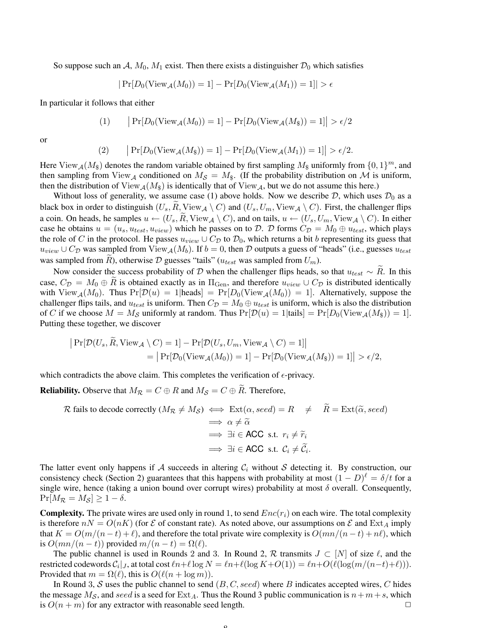So suppose such an  $A, M_0, M_1$  exist. Then there exists a distinguisher  $\mathcal{D}_0$  which satisfies

$$
|\Pr[D_0(\text{View}_{\mathcal{A}}(M_0)) = 1] - \Pr[D_0(\text{View}_{\mathcal{A}}(M_1)) = 1]| > \epsilon
$$

In particular it follows that either

(1) 
$$
|\Pr[D_0(\text{View}_{\mathcal{A}}(M_0)) = 1] - \Pr[D_0(\text{View}_{\mathcal{A}}(M_{\$})) = 1]| > \epsilon/2
$$

or

$$
(2) \qquad \left| \Pr[D_0(\text{View}_{\mathcal{A}}(M_{\$}))=1] - \Pr[D_0(\text{View}_{\mathcal{A}}(M_1))=1] \right| > \epsilon/2.
$$

Here View<sub>A</sub>( $M_{\$}$ ) denotes the random variable obtained by first sampling  $M_{\$}$  uniformly from  $\{0,1\}^m$ , and then sampling from View<sub>A</sub> conditioned on  $M_S = M_{\$}$ . (If the probability distribution on M is uniform, then the distribution of  $View_{\mathcal{A}}(M_{\$})$  is identically that of  $View_{\mathcal{A}}$ , but we do not assume this here.)

Without loss of generality, we assume case (1) above holds. Now we describe  $D$ , which uses  $D_0$  as a black box in order to distinguish  $(U_s, R, V_i, V_i \mid C)$  and  $(U_s, U_m, V_i \mid C)$ . First, the challenger flips a coin. On heads, he samples  $u \leftarrow (U_s, R, V_i, V_i)$ , and on tails,  $u \leftarrow (U_s, U_m, V_i, V_i)$ . In either case he obtains  $u = (u_s, u_{test}, u_{view})$  which he passes on to D. D forms  $C_{\mathcal{D}} = M_0 \oplus u_{test}$ , which plays the role of C in the protocol. He passes  $u_{view} \cup C_{\mathcal{D}}$  to  $\mathcal{D}_0$ , which returns a bit b representing its guess that  $u_{view} \cup C_{\mathcal{D}}$  was sampled from View $_{\mathcal{A}}(M_b)$ . If  $b = 0$ , then  $\mathcal D$  outputs a guess of "heads" (i.e., guesses  $u_{test}$ was sampled from R), otherwise D guesses "tails" ( $u_{test}$  was sampled from  $U_m$ ).

Now consider the success probability of D when the challenger flips heads, so that  $u_{test} \sim R$ . In this case,  $C_{\mathcal{D}} = M_0 \oplus R$  is obtained exactly as in  $\Pi_{\text{Gen}}$ , and therefore  $u_{view} \cup C_{\mathcal{D}}$  is distributed identically with View<sub>A</sub>(M<sub>0</sub>). Thus  $Pr[\mathcal{D}(u) = 1]$ heads] =  $Pr[D_0(View_A(M_0))] = 1]$ . Alternatively, suppose the challenger flips tails, and  $u_{test}$  is uniform. Then  $C_{\mathcal{D}} = M_0 \oplus u_{test}$  is uniform, which is also the distribution of C if we choose  $M = M_{\mathcal{S}}$  uniformly at random. Thus  $Pr[\mathcal{D}(u) = 1 | \text{tails}] = Pr[D_0(\text{View}_{\mathcal{A}}(M_{\$})) = 1].$ Putting these together, we discover

$$
\begin{aligned} \left| \Pr[\mathcal{D}(U_s, \widetilde{R}, \text{View}_{\mathcal{A}} \setminus C) = 1] - \Pr[\mathcal{D}(U_s, U_m, \text{View}_{\mathcal{A}} \setminus C) = 1] \right| \\ &= \left| \Pr[\mathcal{D}_0(\text{View}_{\mathcal{A}}(M_0)) = 1] - \Pr[\mathcal{D}_0(\text{View}_{\mathcal{A}}(M_{\$})) = 1] \right| > \epsilon/2, \end{aligned}
$$

which contradicts the above claim. This completes the verification of  $\epsilon$ -privacy.

**Reliability.** Observe that  $M_{\mathcal{R}} = C \oplus R$  and  $M_{\mathcal{S}} = C \oplus \widetilde{R}$ . Therefore,

$$
\mathcal{R} \text{ fails to decode correctly } (M_{\mathcal{R}} \neq M_{\mathcal{S}}) \iff \text{Ext}(\alpha, seed) = R \neq \overline{R} = \text{Ext}(\widetilde{\alpha}, seed)
$$

$$
\implies \alpha \neq \widetilde{\alpha}
$$

$$
\implies \exists i \in \text{ACC s.t. } r_i \neq \widetilde{r}_i
$$

$$
\implies \exists i \in \text{ACC s.t. } \mathcal{C}_i \neq \widetilde{\mathcal{C}}_i.
$$

The latter event only happens if A succeeds in altering  $C_i$  without S detecting it. By construction, our consistency check (Section 2) guarantees that this happens with probability at most  $(1 - D)^{\ell} = \delta/t$  for a single wire, hence (taking a union bound over corrupt wires) probability at most  $\delta$  overall. Consequently,  $Pr[M_{\mathcal{R}} = M_{\mathcal{S}}] \geq 1 - \delta.$ 

**Complexity.** The private wires are used only in round 1, to send  $Enc(r_i)$  on each wire. The total complexity is therefore  $nN = O(nK)$  (for  $\mathcal E$  of constant rate). As noted above, our assumptions on  $\mathcal E$  and  $\text{Ext}_A$  imply that  $K = O(m/(n - t) + \ell)$ , and therefore the total private wire complexity is  $O(mn/(n - t) + n\ell)$ , which is  $O(mn/(n-t))$  provided  $m/(n-t) = \Omega(\ell)$ .

The public channel is used in Rounds 2 and 3. In Round 2,  $\mathcal{R}$  transmits  $J \subset [N]$  of size  $\ell$ , and the restricted codewords  $\mathcal{C}_i|_J$ , at total cost  $\ell n+\ell\log N = \ell n+\ell(\log K+O(1)) = \ell n+O(\ell(\log(m/(n-t)+\ell))).$ Provided that  $m = \Omega(\ell)$ , this is  $O(\ell(n + \log m))$ .

In Round 3, S uses the public channel to send  $(B, C, seed)$  where B indicates accepted wires, C hides the message  $M_{\mathcal{S}}$ , and seed is a seed for Ext<sub>A</sub>. Thus the Round 3 public communication is  $n+m+s$ , which is  $O(n + m)$  for any extractor with reasonable seed length.  $\square$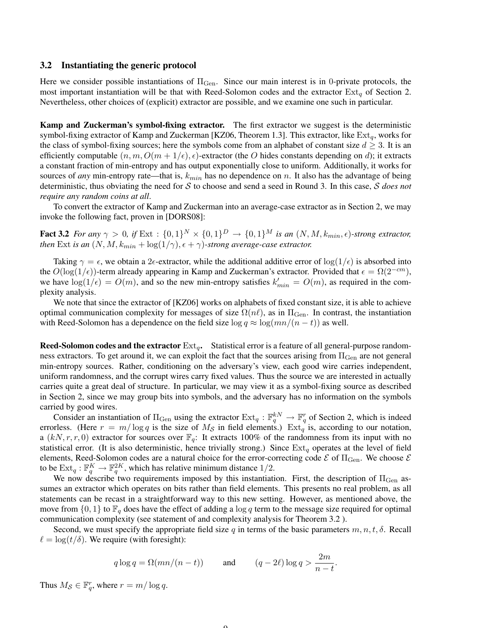#### 3.2 Instantiating the generic protocol

Here we consider possible instantiations of  $\Pi_{Gen}$ . Since our main interest is in 0-private protocols, the most important instantiation will be that with Reed-Solomon codes and the extractor  $Ext_a$  of Section 2. Nevertheless, other choices of (explicit) extractor are possible, and we examine one such in particular.

Kamp and Zuckerman's symbol-fixing extractor. The first extractor we suggest is the deterministic symbol-fixing extractor of Kamp and Zuckerman [KZ06, Theorem 1.3]. This extractor, like  $\text{Ext}_q$ , works for the class of symbol-fixing sources; here the symbols come from an alphabet of constant size  $d \geq 3$ . It is an efficiently computable  $(n, m, O(m + 1/\epsilon), \epsilon)$ -extractor (the O hides constants depending on d); it extracts a constant fraction of min-entropy and has output exponentially close to uniform. Additionally, it works for sources of *any* min-entropy rate—that is,  $k_{min}$  has no dependence on n. It also has the advantage of being deterministic, thus obviating the need for S to choose and send a seed in Round 3. In this case, S *does not require any random coins at all*.

To convert the extractor of Kamp and Zuckerman into an average-case extractor as in Section 2, we may invoke the following fact, proven in [DORS08]:

Fact 3.2 For any  $\gamma > 0$ , if Ext :  $\{0,1\}^N \times \{0,1\}^D \to \{0,1\}^M$  is an  $(N, M, k_{min}, \epsilon)$ -strong extractor, *then* Ext *is an*  $(N, M, k_{min} + \log(1/\gamma), \epsilon + \gamma)$ -strong average-case extractor.

Taking  $\gamma = \epsilon$ , we obtain a 2 $\epsilon$ -extractor, while the additional additive error of  $\log(1/\epsilon)$  is absorbed into the  $O(\log(1/\epsilon))$ -term already appearing in Kamp and Zuckerman's extractor. Provided that  $\epsilon = \Omega(2^{-cm})$ , we have  $\log(1/\epsilon) = O(m)$ , and so the new min-entropy satisfies  $k'_{min} = O(m)$ , as required in the complexity analysis.

We note that since the extractor of [KZ06] works on alphabets of fixed constant size, it is able to achieve optimal communication complexity for messages of size  $\Omega(n\ell)$ , as in  $\Pi_{Gen}$ . In contrast, the instantiation with Reed-Solomon has a dependence on the field size  $\log q \approx \log(mn/(n-t))$  as well.

**Reed-Solomon codes and the extractor**  $Ext_q$ . Statistical error is a feature of all general-purpose randomness extractors. To get around it, we can exploit the fact that the sources arising from  $\Pi_{Gen}$  are not general min-entropy sources. Rather, conditioning on the adversary's view, each good wire carries independent, uniform randomness, and the corrupt wires carry fixed values. Thus the source we are interested in actually carries quite a great deal of structure. In particular, we may view it as a symbol-fixing source as described in Section 2, since we may group bits into symbols, and the adversary has no information on the symbols carried by good wires.

Consider an instantiation of  $\Pi_{\text{Gen}}$  using the extractor  $\text{Ext}_q : \mathbb{F}_q^{kN} \to \mathbb{F}_q^r$  of Section 2, which is indeed errorless. (Here  $r = m/\log q$  is the size of  $M_{\mathcal{S}}$  in field elements.) Ext<sub>q</sub> is, according to our notation, a  $(kN, r, r, 0)$  extractor for sources over  $\mathbb{F}_q$ : It extracts 100% of the randomness from its input with no statistical error. (It is also deterministic, hence trivially strong.) Since  $Ext_q$  operates at the level of field elements, Reed-Solomon codes are a natural choice for the error-correcting code  $\mathcal E$  of  $\Pi_{\text{Gen}}$ . We choose  $\mathcal E$ to be  $\text{Ext}_q : \mathbb{F}_q^K \to \mathbb{F}_q^{2K}$ , which has relative minimum distance  $1/2$ .

We now describe two requirements imposed by this instantiation. First, the description of  $\Pi_{\text{Gen}}$  assumes an extractor which operates on bits rather than field elements. This presents no real problem, as all statements can be recast in a straightforward way to this new setting. However, as mentioned above, the move from  $\{0, 1\}$  to  $\mathbb{F}_q$  does have the effect of adding a log q term to the message size required for optimal communication complexity (see statement of and complexity analysis for Theorem 3.2 ).

Second, we must specify the appropriate field size q in terms of the basic parameters  $m, n, t, \delta$ . Recall  $\ell = \log(t/\delta)$ . We require (with foresight):

$$
q \log q = \Omega(mn/(n-t))
$$
 and  $(q-2\ell) \log q > \frac{2m}{n-t}$ .

Thus  $M_{\mathcal{S}} \in \mathbb{F}_q^r$ , where  $r = m/\log q$ .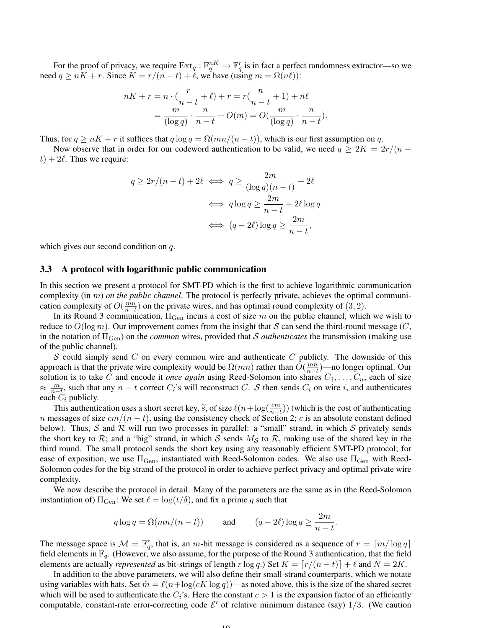For the proof of privacy, we require  $\mathrm{Ext}_q : \mathbb{F}_q^{nK} \to \mathbb{F}_q^r$  is in fact a perfect randomness extractor—so we need  $q \ge nK + r$ . Since  $K = r/(n - t) + \ell$ , we have (using  $m = \Omega(n\ell)$ ):

$$
nK + r = n \cdot \left(\frac{r}{n-t} + \ell\right) + r = r\left(\frac{n}{n-t} + 1\right) + n\ell
$$
  
= 
$$
\frac{m}{(\log q)} \cdot \frac{n}{n-t} + O(m) = O\left(\frac{m}{(\log q)} \cdot \frac{n}{n-t}\right).
$$

Thus, for  $q \ge nK + r$  it suffices that  $q \log q = \Omega(mn/(n-t))$ , which is our first assumption on q.

Now observe that in order for our codeword authentication to be valid, we need  $q \ge 2K = 2r/(n - 1)$  $t$ ) + 2 $\ell$ . Thus we require:

$$
q \ge 2r/(n-t) + 2\ell \iff q \ge \frac{2m}{(\log q)(n-t)} + 2\ell
$$

$$
\iff q \log q \ge \frac{2m}{n-t} + 2\ell \log q
$$

$$
\iff (q - 2\ell) \log q \ge \frac{2m}{n-t},
$$

which gives our second condition on  $q$ .

### 3.3 A protocol with logarithmic public communication

In this section we present a protocol for SMT-PD which is the first to achieve logarithmic communication complexity (in m) *on the public channel*. The protocol is perfectly private, achieves the optimal communication complexity of  $O(\frac{mn}{n-t})$  on the private wires, and has optimal round complexity of  $(3, 2)$ .

In its Round 3 communication,  $\Pi_{Gen}$  incurs a cost of size m on the public channel, which we wish to reduce to  $O(\log m)$ . Our improvement comes from the insight that S can send the third-round message (C, in the notation of  $\Pi_{\text{Gen}}$ ) on the *common* wires, provided that S *authenticates* the transmission (making use of the public channel).

S could simply send C on every common wire and authenticate C publicly. The downside of this approach is that the private wire complexity would be  $\Omega(mn)$  rather than  $\tilde{O}(\frac{mn}{n-t})$ —no longer optimal. Our solution is to take C and encode it *once again* using Reed-Solomon into shares  $C_1, \ldots, C_n$ , each of size  $\approx \frac{m}{n-t}$ , such that any  $n-t$  correct  $C_i$ 's will reconstruct C. S then sends  $C_i$  on wire i, and authenticates each  $C_i$  publicly.

This authentication uses a short secret key,  $\tilde{s}$ , of size  $\ell(n+\log(\frac{cm}{n-t}))$  (which is the cost of authenticating<br>necessary of size  $cm/(n-t)$ , using the consistency check of Section 2: c is an absolute constant defined n messages of size  $cm/(n-t)$ , using the consistency check of Section 2; c is an absolute constant defined below). Thus, S and R will run two processes in parallel: a "small" strand, in which S privately sends the short key to  $\mathcal{R}$ ; and a "big" strand, in which S sends  $M<sub>S</sub>$  to  $\mathcal{R}$ , making use of the shared key in the third round. The small protocol sends the short key using any reasonably efficient SMT-PD protocol; for ease of exposition, we use  $\Pi_{\text{Gen}}$ , instantiated with Reed-Solomon codes. We also use  $\Pi_{\text{Gen}}$  with Reed-Solomon codes for the big strand of the protocol in order to achieve perfect privacy and optimal private wire complexity.

We now describe the protocol in detail. Many of the parameters are the same as in (the Reed-Solomon instantiation of)  $\Pi_{Gen}$ : We set  $\ell = \log(t/\delta)$ , and fix a prime q such that

$$
q \log q = \Omega(mn/(n-t))
$$
 and  $(q-2\ell) \log q \ge \frac{2m}{n-t}$ .

The message space is  $M = \mathbb{F}_q^r$ , that is, an m-bit message is considered as a sequence of  $r = \lceil m/\log q \rceil$ field elements in  $\mathbb{F}_q$ . (However, we also assume, for the purpose of the Round 3 authentication, that the field elements are actually *represented* as bit-strings of length r log q.) Set  $K = \lceil r/(n - t) \rceil + \ell$  and  $N = 2K$ .

In addition to the above parameters, we will also define their small-strand counterparts, which we notate using variables with hats. Set  $\hat{m} = \ell(n+\log(cK \log q))$ —as noted above, this is the size of the shared secret which will be used to authenticate the  $C_i$ 's. Here the constant  $c > 1$  is the expansion factor of an efficiently computable, constant-rate error-correcting code  $\mathcal{E}'$  of relative minimum distance (say) 1/3. (We caution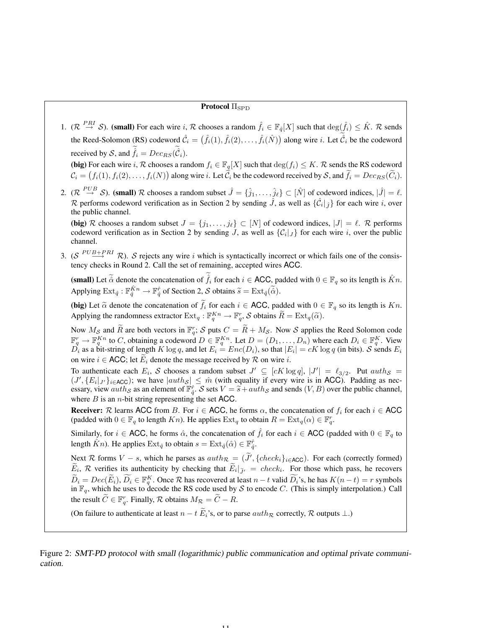#### Protocol Π<sub>SPD</sub>

1.  $(\mathcal{R}^{\text{PRI}} \rightarrow \mathcal{S})$ . (small) For each wire i,  $\mathcal{R}$  chooses a random  $\hat{f}_i \in \mathbb{F}_{q}[X]$  such that  $\deg(\hat{f}_i) \leq \hat{K}$ .  $\mathcal{R}$  sends the Reed-Solomon (RS) codeword  $\hat{\mathcal{C}}_i = (\hat{f}_i(1), \hat{f}_i(2), \dots, \hat{f}_i(\hat{N}))$  along wire *i*. Let  $\hat{\mathcal{C}}_i$  be the codeword received by S, and  $\hat{f}_i = Dec_{RS}(\hat{\mathcal{C}}_i)$ .

(big) For each wire i, R chooses a random  $f_i \in \mathbb{F}_q[X]$  such that  $\deg(f_i) \leq K$ . R sends the RS codeword  $\mathcal{C}_i = (f_i(1), f_i(2), \ldots, f_i(N))$  along wire i. Let  $\tilde{\mathcal{C}}_i$  be the codeword received by S, and  $f_i = Dec_{RS}(\tilde{C}_i)$ .

2.  $(\mathcal{R} \stackrel{PUB}{\rightarrow} \mathcal{S})$ . (small)  $\mathcal{R}$  chooses a random subset  $\hat{J} = \{\hat{j}_1, \dots, \hat{j}_\ell\} \subset [\hat{N}]$  of codeword indices,  $|\hat{J}| = \ell$ . R performs codeword verification as in Section 2 by sending  $\hat{J}$ , as well as  $\{\hat{C}_i|_{\hat{J}}\}$  for each wire i, over the public channel.

(big) R chooses a random subset  $J = \{j_1, \ldots, j_\ell\} \subset [N]$  of codeword indices,  $|J| = \ell$ . R performs codeword verification as in Section 2 by sending J, as well as  $\{\mathcal{C}_i|_J\}$  for each wire i, over the public channel.

3. ( $S \stackrel{PUB+PRI}{\longrightarrow} R$ ). S rejects any wire i which is syntactically incorrect or which fails one of the consistency checks in Round 2. Call the set of remaining, accepted wires ACC.

(small) Let  $\tilde{\alpha}$  denote the concatenation of  $\tilde{f}_i$  for each  $i \in$  ACC, padded with  $0 \in \mathbb{F}_q$  so its length is  $\hat{K}n$ . Applying  $\text{Ext}_{\hat{q}} : \mathbb{F}_{\hat{q}}^{\hat{K}n} \to \mathbb{F}_{\hat{q}}^{\hat{r}}$  of Section 2, S obtains  $\widetilde{s} = \text{Ext}_{\hat{q}}(\widetilde{\hat{\alpha}})$ .

(big) Let  $\tilde{\alpha}$  denote the concatenation of  $\tilde{f}_i$  for each  $i \in$  ACC, padded with  $0 \in \mathbb{F}_q$  so its length is  $Kn$ . Applying the randomness extractor  $\operatorname{Ext}_q : \mathbb{F}_q^{Kn} \to \mathbb{F}_q^r$ , S obtains  $\widetilde{R} = \operatorname{Ext}_q(\widetilde{\alpha})$ .

Now  $M_S$  and  $\widetilde{R}$  are both vectors in  $\mathbb{F}_q^r$ ; S puts  $C = \widetilde{R} + M_S$ . Now S applies the Reed Solomon code  $\mathbb{F}_q^r \to \mathbb{F}_q^{Kn}$  to C, obtaining a codeword  $D \in \mathbb{F}_q^{Kn}$ . Let  $D = (D_1, \dots, D_n)$  where each  $D_i \in \mathbb{F}_q^K$ . View  $\hat{D_i}$  as a bit-string of length  $K \log q$ , and let  $E_i = Enc(D_i)$ , so that  $|E_i| = cK \log q$  (in bits).  $S$  sends  $E_i$ on wire  $i \in$  ACC; let  $E_i$  denote the message received by  $R$  on wire i.

To authenticate each  $E_i$ , S chooses a random subset  $J' \subseteq [cK \log q]$ ,  $|J'| = \ell_{3/2}$ . Put  $auth_{\mathcal{S}} =$  $(J', \{E_i|_{J'}\}_{i \in \text{ACC}})$ ; we have  $|auth_{\mathcal{S}}| \leq \hat{m}$  (with equality if every wire is in ACC). Padding as necessary, view *auth<sub>S</sub>* as an element of  $\mathbb{F}_q^{\hat{r}}$ . S sets  $V = \hat{s} + auth_\mathcal{S}$  and sends  $(V, B)$  over the public channel, where B is an *n*-bit string representing the set ACC.

**Receiver:** R learns ACC from B. For  $i \in$  ACC, he forms  $\alpha$ , the concatenation of  $f_i$  for each  $i \in$  ACC (padded with  $0 \in \mathbb{F}_q$  to length  $Kn$ ). He applies  $\text{Ext}_q$  to obtain  $R = \text{Ext}_q(\alpha) \in \mathbb{F}_q^r$ .

Similarly, for  $i \in$  ACC, he forms  $\hat{\alpha}$ , the concatenation of  $\hat{f}_i$  for each  $i \in$  ACC (padded with  $0 \in \mathbb{F}_q$  to length  $\hat{K}n$ ). He applies  $\mathrm{Ext}_{\hat{q}}$  to obtain  $s = \mathrm{Ext}_{\hat{q}}(\hat{\alpha}) \in \mathbb{F}_{\hat{q}}^{\hat{r}}$ .

Next R forms  $V - s$ , which he parses as  $auth_{\mathcal{R}} = (\tilde{J}', \{check_{i \in \text{ACC}}\})$ . For each (correctly formed)  $E_i$ ,  $R$  verifies its authenticity by checking that  $E_i|_{\tilde{j}'} = check_i$ . For those which pass, he recovers  $\widetilde{D}_i = Dec(\widetilde{E}_i), \widetilde{D}_i \in \mathbb{F}_q^K$ . Once R has recovered at least  $n-t$  valid  $\widetilde{D}_i$ 's, he has  $K(n-t) = r$  symbols in  $\mathbb{F}_q$ , which he uses to decode the RS code used by S to encode C. (This is simply interpolation.) Call the result  $\widetilde{C} \in \mathbb{F}_q^r$ . Finally,  $\mathcal R$  obtains  $M_{\mathcal{R}} = \widetilde{C} - R$ .

(On failure to authenticate at least  $n - t \widetilde{E}_i$ 's, or to parse  $auth_{\mathcal{R}}$  correctly,  $\mathcal R$  outputs  $\perp$ .)

Figure 2: SMT-PD protocol with small (logarithmic) public communication and optimal private communication.

11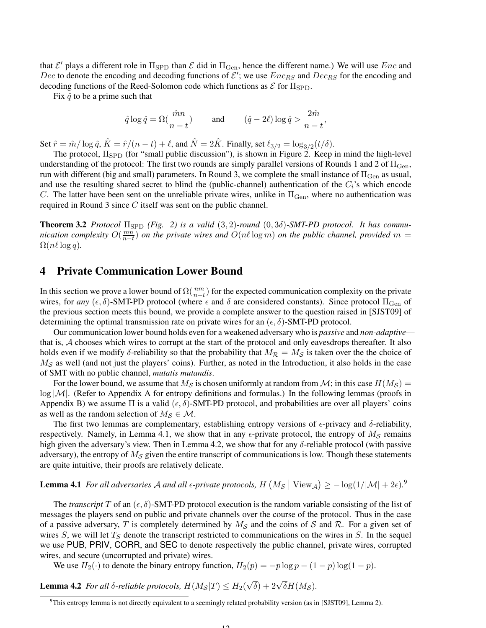that  $\mathcal{E}'$  plays a different role in  $\Pi_{\text{SPD}}$  than  $\mathcal E$  did in  $\Pi_{\text{Gen}}$ , hence the different name.) We will use  $Enc$  and Dec to denote the encoding and decoding functions of  $\mathcal{E}'$ ; we use  $Enc_{RS}$  and  $Dec_{RS}$  for the encoding and decoding functions of the Reed-Solomon code which functions as  $\mathcal E$  for  $\Pi_{\text{SPD}}$ .

Fix  $\hat{q}$  to be a prime such that

$$
\hat{q} \log \hat{q} = \Omega(\frac{\hat{m}n}{n-t})
$$
 and  $(\hat{q} - 2\ell) \log \hat{q} > \frac{2\hat{m}}{n-t}$ ,

Set  $\hat{r} = \hat{m} / \log \hat{q}$ ,  $\hat{K} = \hat{r} / (n - t) + \ell$ , and  $\hat{N} = 2\hat{K}$ . Finally, set  $\ell_{3/2} = \log_{3/2} (t/\delta)$ .

The protocol,  $\Pi_{\rm SPD}$  (for "small public discussion"), is shown in Figure 2. Keep in mind the high-level understanding of the protocol: The first two rounds are simply parallel versions of Rounds 1 and 2 of  $\Pi_{Gen}$ , run with different (big and small) parameters. In Round 3, we complete the small instance of  $\Pi_{Gen}$  as usual, and use the resulting shared secret to blind the (public-channel) authentication of the  $C_i$ 's which encode C. The latter have been sent on the unreliable private wires, unlike in  $\Pi_{Gen}$ , where no authentication was required in Round 3 since C itself was sent on the public channel.

**Theorem 3.2** *Protocol*  $\Pi_{\text{SPD}}$  *(Fig. 2) is a valid*  $(3,2)$ *-round*  $(0,3\delta)$ *-SMT-PD protocol. It has commu*nication complexity  $O(\frac{mn}{n-t})$  on the private wires and  $O(n\ell \log m)$  on the public channel, provided  $m =$  $\Omega(n\ell \log q)$ .

# 4 Private Communication Lower Bound

In this section we prove a lower bound of  $\Omega(\frac{nm}{n-t})$  for the expected communication complexity on the private wires, for *any* ( $\epsilon$ ,  $\delta$ )-SMT-PD protocol (where  $\epsilon$  and  $\delta$  are considered constants). Since protocol  $\Pi_{Gen}$  of the previous section meets this bound, we provide a complete answer to the question raised in [SJST09] of determining the optimal transmission rate on private wires for an  $(\epsilon, \delta)$ -SMT-PD protocol.

Our communication lower bound holds even for a weakened adversary who is *passive* and *non-adaptive* that is, A chooses which wires to corrupt at the start of the protocol and only eavesdrops thereafter. It also holds even if we modify  $\delta$ -reliability so that the probability that  $M_{\mathcal{R}} = M_{\mathcal{S}}$  is taken over the the choice of  $M<sub>S</sub>$  as well (and not just the players' coins). Further, as noted in the Introduction, it also holds in the case of SMT with no public channel, *mutatis mutandis*.

For the lower bound, we assume that  $M_{\mathcal{S}}$  is chosen uniformly at random from  $\mathcal{M}$ ; in this case  $H(M_{\mathcal{S}})$  =  $log |\mathcal{M}|$ . (Refer to Appendix A for entropy definitions and formulas.) In the following lemmas (proofs in Appendix B) we assume  $\Pi$  is a valid  $(\epsilon, \delta)$ -SMT-PD protocol, and probabilities are over all players' coins as well as the random selection of  $M_S \in \mathcal{M}$ .

The first two lemmas are complementary, establishing entropy versions of  $\epsilon$ -privacy and  $\delta$ -reliability, respectively. Namely, in Lemma 4.1, we show that in any  $\epsilon$ -private protocol, the entropy of  $M_{\mathcal{S}}$  remains high given the adversary's view. Then in Lemma 4.2, we show that for any  $\delta$ -reliable protocol (with passive adversary), the entropy of  $M<sub>S</sub>$  given the entire transcript of communications is low. Though these statements are quite intuitive, their proofs are relatively delicate.

# **Lemma 4.1** For all adversaries A and all  $\epsilon$ -private protocols,  $H(M_S | \text{View}_\mathcal{A}) \ge -\log(1/|\mathcal{M}| + 2\epsilon)$ .<sup>9</sup>

The *transcript* T of an  $(\epsilon, \delta)$ -SMT-PD protocol execution is the random variable consisting of the list of messages the players send on public and private channels over the course of the protocol. Thus in the case of a passive adversary, T is completely determined by  $M<sub>S</sub>$  and the coins of S and R. For a given set of wires S, we will let  $T<sub>S</sub>$  denote the transcript restricted to communications on the wires in S. In the sequel we use PUB, PRIV, CORR, and SEC to denote respectively the public channel, private wires, corrupted wires, and secure (uncorrupted and private) wires.

We use  $H_2(\cdot)$  to denote the binary entropy function,  $H_2(p) = -p \log p - (1 - p) \log(1 - p)$ .

**Lemma 4.2** *For all*  $\delta$ *-reliable protocols,*  $H(M_{\mathcal{S}}|T) \leq H_2(\delta)$  $\sqrt{\delta}$ ) + 2 $\sqrt{\delta}H(M_{\mathcal{S}})$ .

 $^{9}$ This entropy lemma is not directly equivalent to a seemingly related probability version (as in [SJST09], Lemma 2).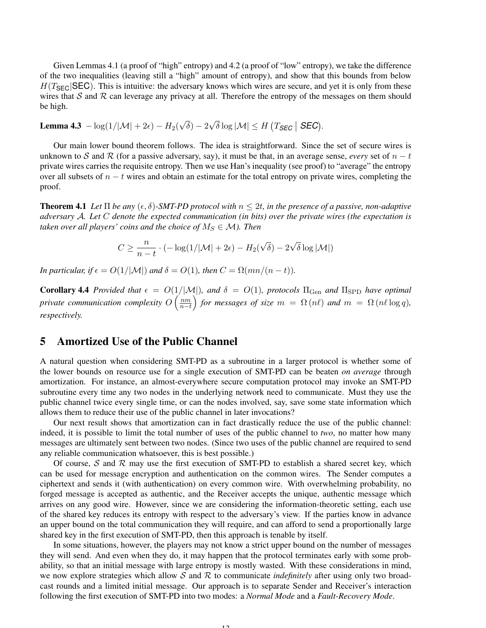Given Lemmas 4.1 (a proof of "high" entropy) and 4.2 (a proof of "low" entropy), we take the difference of the two inequalities (leaving still a "high" amount of entropy), and show that this bounds from below  $H(T<sub>SEC</sub>|SEC).$  This is intuitive: the adversary knows which wires are secure, and yet it is only from these wires that  $S$  and  $R$  can leverage any privacy at all. Therefore the entropy of the messages on them should be high.

**Lemma 4.3** –  $\log(1/|\mathcal{M}| + 2\epsilon)$  –  $H_2($ √  $\delta$ )  $-2$ √  $\overline{\delta} \log |\mathcal{M}| \leq H \left(T_{\text{SEC}} \mid \text{SEC} \right).$ 

Our main lower bound theorem follows. The idea is straightforward. Since the set of secure wires is unknown to S and R (for a passive adversary, say), it must be that, in an average sense, *every* set of  $n - t$ private wires carries the requisite entropy. Then we use Han's inequality (see proof) to "average" the entropy over all subsets of  $n - t$  wires and obtain an estimate for the total entropy on private wires, completing the proof.

**Theorem 4.1** Let  $\Pi$  be any  $(\epsilon, \delta)$ -SMT-PD protocol with  $n \leq 2t$ , in the presence of a passive, non-adaptive *adversary* A*. Let* C *denote the expected communication (in bits) over the private wires (the expectation is taken over all players' coins and the choice of*  $M_S \in \mathcal{M}$ *). Then* 

$$
C \ge \frac{n}{n-t} \cdot (-\log(1/|\mathcal{M}| + 2\epsilon) - H_2(\sqrt{\delta}) - 2\sqrt{\delta} \log |\mathcal{M}|)
$$

*In particular, if*  $\epsilon = O(1/|\mathcal{M}|)$  *and*  $\delta = O(1)$ *, then*  $C = \Omega(mn/(n-t))$ *.* 

**Corollary 4.4** *Provided that*  $\epsilon = O(1/|\mathcal{M}|)$ *, and*  $\delta = O(1)$ *, protocols*  $\Pi_{Gen}$  *and*  $\Pi_{SPD}$  *have optimal private communication complexity*  $O\left(\frac{nm}{n-t}\right)$  *for messages of size*  $m = \Omega(n\ell)$  *and*  $m = \Omega(n\ell \log q)$ *, respectively.*

# 5 Amortized Use of the Public Channel

A natural question when considering SMT-PD as a subroutine in a larger protocol is whether some of the lower bounds on resource use for a single execution of SMT-PD can be beaten *on average* through amortization. For instance, an almost-everywhere secure computation protocol may invoke an SMT-PD subroutine every time any two nodes in the underlying network need to communicate. Must they use the public channel twice every single time, or can the nodes involved, say, save some state information which allows them to reduce their use of the public channel in later invocations?

Our next result shows that amortization can in fact drastically reduce the use of the public channel: indeed, it is possible to limit the total number of uses of the public channel to *two*, no matter how many messages are ultimately sent between two nodes. (Since two uses of the public channel are required to send any reliable communication whatsoever, this is best possible.)

Of course, S and R may use the first execution of SMT-PD to establish a shared secret key, which can be used for message encryption and authentication on the common wires. The Sender computes a ciphertext and sends it (with authentication) on every common wire. With overwhelming probability, no forged message is accepted as authentic, and the Receiver accepts the unique, authentic message which arrives on any good wire. However, since we are considering the information-theoretic setting, each use of the shared key reduces its entropy with respect to the adversary's view. If the parties know in advance an upper bound on the total communication they will require, and can afford to send a proportionally large shared key in the first execution of SMT-PD, then this approach is tenable by itself.

In some situations, however, the players may not know a strict upper bound on the number of messages they will send. And even when they do, it may happen that the protocol terminates early with some probability, so that an initial message with large entropy is mostly wasted. With these considerations in mind, we now explore strategies which allow  $S$  and  $R$  to communicate *indefinitely* after using only two broadcast rounds and a limited initial message. Our approach is to separate Sender and Receiver's interaction following the first execution of SMT-PD into two modes: a *Normal Mode* and a *Fault-Recovery Mode*.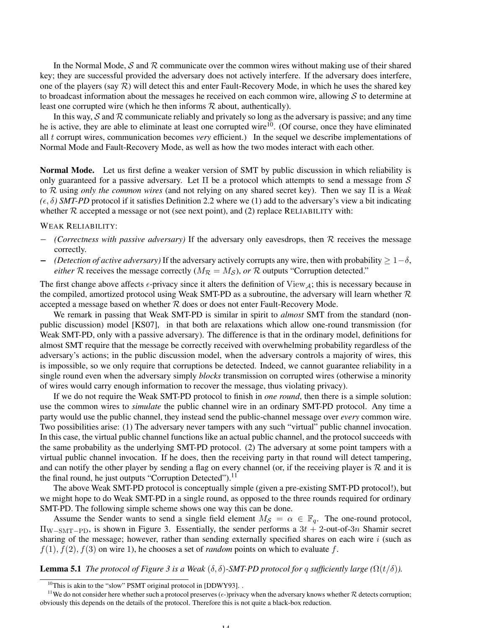In the Normal Mode,  $S$  and  $R$  communicate over the common wires without making use of their shared key; they are successful provided the adversary does not actively interfere. If the adversary does interfere, one of the players (say  $R$ ) will detect this and enter Fault-Recovery Mode, in which he uses the shared key to broadcast information about the messages he received on each common wire, allowing  $S$  to determine at least one corrupted wire (which he then informs  $R$  about, authentically).

In this way,  $S$  and  $R$  communicate reliably and privately so long as the adversary is passive; and any time he is active, they are able to eliminate at least one corrupted wire<sup>10</sup>. (Of course, once they have eliminated all t corrupt wires, communication becomes *very* efficient.) In the sequel we describe implementations of Normal Mode and Fault-Recovery Mode, as well as how the two modes interact with each other.

Normal Mode. Let us first define a weaker version of SMT by public discussion in which reliability is only guaranteed for a passive adversary. Let  $\Pi$  be a protocol which attempts to send a message from S to R using *only the common wires* (and not relying on any shared secret key). Then we say Π is a *Weak*  $(\epsilon, \delta)$  SMT-PD protocol if it satisfies Definition 2.2 where we (1) add to the adversary's view a bit indicating whether  $R$  accepted a message or not (see next point), and (2) replace RELIABILITY with:

### WEAK RELIABILITY:

- *(Correctness with passive adversary)* If the adversary only eavesdrops, then R receives the message correctly.
- *– (Detection of active adversary)* If the adversary actively corrupts any wire, then with probability ≥ 1−δ, *either* R receives the message correctly ( $M_R = M_S$ ), *or* R outputs "Corruption detected."

The first change above affects  $\epsilon$ -privacy since it alters the definition of View<sub>A</sub>; this is necessary because in the compiled, amortized protocol using Weak SMT-PD as a subroutine, the adversary will learn whether  $\mathcal R$ accepted a message based on whether  $R$  does or does not enter Fault-Recovery Mode.

We remark in passing that Weak SMT-PD is similar in spirit to *almost* SMT from the standard (nonpublic discussion) model [KS07], in that both are relaxations which allow one-round transmission (for Weak SMT-PD, only with a passive adversary). The difference is that in the ordinary model, definitions for almost SMT require that the message be correctly received with overwhelming probability regardless of the adversary's actions; in the public discussion model, when the adversary controls a majority of wires, this is impossible, so we only require that corruptions be detected. Indeed, we cannot guarantee reliability in a single round even when the adversary simply *blocks* transmission on corrupted wires (otherwise a minority of wires would carry enough information to recover the message, thus violating privacy).

If we do not require the Weak SMT-PD protocol to finish in *one round*, then there is a simple solution: use the common wires to *simulate* the public channel wire in an ordinary SMT-PD protocol. Any time a party would use the public channel, they instead send the public-channel message over *every* common wire. Two possibilities arise: (1) The adversary never tampers with any such "virtual" public channel invocation. In this case, the virtual public channel functions like an actual public channel, and the protocol succeeds with the same probability as the underlying SMT-PD protocol. (2) The adversary at some point tampers with a virtual public channel invocation. If he does, then the receiving party in that round will detect tampering, and can notify the other player by sending a flag on every channel (or, if the receiving player is  $R$  and it is the final round, he just outputs "Corruption Detected").<sup>11</sup>

The above Weak SMT-PD protocol is conceptually simple (given a pre-existing SMT-PD protocol!), but we might hope to do Weak SMT-PD in a single round, as opposed to the three rounds required for ordinary SMT-PD. The following simple scheme shows one way this can be done.

Assume the Sender wants to send a single field element  $M_{\mathcal{S}} = \alpha \in \mathbb{F}_q$ . The one-round protocol,  $\Pi_{\text{W-SMT-PD}}$ , is shown in Figure 3. Essentially, the sender performs a  $3t + 2$ -out-of-3n Shamir secret sharing of the message; however, rather than sending externally specified shares on each wire i (such as  $f(1), f(2), f(3)$  on wire 1), he chooses a set of *random* points on which to evaluate f.

**Lemma 5.1** *The protocol of Figure 3 is a Weak* ( $\delta$ ,  $\delta$ )-SMT-PD protocol for q sufficiently large ( $\Omega(t/\delta)$ ).

 $10$ This is akin to the "slow" PSMT original protocol in [DDWY93]. .

<sup>&</sup>lt;sup>11</sup>We do not consider here whether such a protocol preserves  $(\epsilon)$  privacy when the adversary knows whether  $\mathcal R$  detects corruption; obviously this depends on the details of the protocol. Therefore this is not quite a black-box reduction.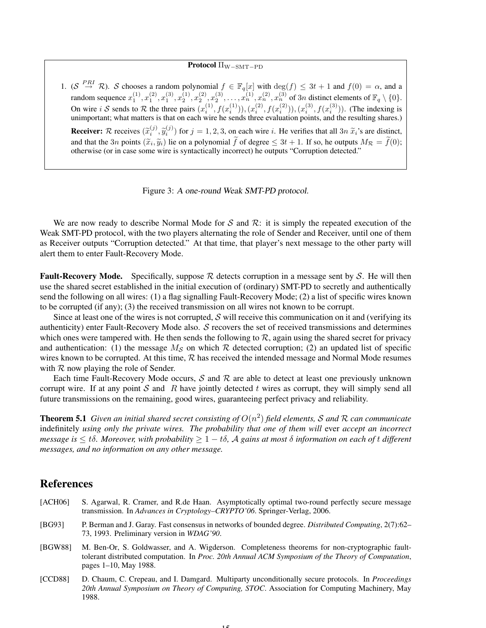### Protocol Π<sub>W−SMT−PD</sub>

1.  $(S \stackrel{PRI}{\rightarrow} \mathcal{R})$ . S chooses a random polynomial  $f \in \mathbb{F}_q[x]$  with  $\deg(f) \leq 3t + 1$  and  $f(0) = \alpha$ , and a random sequence  $x_1^{(1)}, x_1^{(2)}, x_1^{(3)}, x_2^{(1)}, x_2^{(2)}, x_2^{(3)}, \ldots, x_n^{(1)}, x_n^{(2)}, x_n^{(3)}$  of 3n distinct elements of  $\mathbb{F}_q \setminus \{0\}$ . On wire *i* S sends to R the three pairs  $(x_i^{(1)}, f(x_i^{(1)})), (x_i^{(2)}, f(x_i^{(2)})), (x_i^{(3)}, f(x_i^{(3)})).$  (The indexing is unimportant; what matters is that on each wire he sends three evaluation points, and the resulting shares.) **Receiver:** R receives  $(\tilde{x}_i^{(j)}, \tilde{y}_i^{(j)})$  for  $j = 1, 2, 3$ , on each wire *i*. He verifies that all 3n  $\tilde{x}_i$ 's are distinct, and that the 3n points  $(\tilde{x}_i, \tilde{y}_i)$  lie on a polynomial f of degree  $\leq 3t + 1$ . If so, he outputs  $M_{\mathcal{R}} = f(0)$ ;<br>otherwise (or in case some wire is syntactically incorrect) be outputs "Corruption detected" otherwise (or in case some wire is syntactically incorrect) he outputs "Corruption detected."

Figure 3: A one-round Weak SMT-PD protocol.

We are now ready to describe Normal Mode for S and  $\mathcal{R}$ : it is simply the repeated execution of the Weak SMT-PD protocol, with the two players alternating the role of Sender and Receiver, until one of them as Receiver outputs "Corruption detected." At that time, that player's next message to the other party will alert them to enter Fault-Recovery Mode.

**Fault-Recovery Mode.** Specifically, suppose  $\mathcal{R}$  detects corruption in a message sent by  $\mathcal{S}$ . He will then use the shared secret established in the initial execution of (ordinary) SMT-PD to secretly and authentically send the following on all wires: (1) a flag signalling Fault-Recovery Mode; (2) a list of specific wires known to be corrupted (if any); (3) the received transmission on all wires not known to be corrupt.

Since at least one of the wires is not corrupted,  $S$  will receive this communication on it and (verifying its authenticity) enter Fault-Recovery Mode also.  $S$  recovers the set of received transmissions and determines which ones were tampered with. He then sends the following to  $R$ , again using the shared secret for privacy and authentication: (1) the message  $M<sub>S</sub>$  on which R detected corruption; (2) an updated list of specific wires known to be corrupted. At this time,  $R$  has received the intended message and Normal Mode resumes with  $R$  now playing the role of Sender.

Each time Fault-Recovery Mode occurs,  $S$  and  $R$  are able to detect at least one previously unknown corrupt wire. If at any point  $S$  and  $R$  have jointly detected  $t$  wires as corrupt, they will simply send all future transmissions on the remaining, good wires, guaranteeing perfect privacy and reliability.

Theorem 5.1 *Given an initial shared secret consisting of* O(n 2 ) *field elements,* S *and* R *can communicate* indefinitely *using only the private wires. The probability that one of them will* ever *accept an incorrect message is*  $\leq t\delta$ *. Moreover, with probability*  $\geq 1 - t\delta$ *, A gains at most*  $\delta$  *information on each of t different messages, and no information on any other message.*

# References

- [ACH06] S. Agarwal, R. Cramer, and R.de Haan. Asymptotically optimal two-round perfectly secure message transmission. In *Advances in Cryptology–CRYPTO'06*. Springer-Verlag, 2006.
- [BG93] P. Berman and J. Garay. Fast consensus in networks of bounded degree. *Distributed Computing*, 2(7):62– 73, 1993. Preliminary version in *WDAG'90*.
- [BGW88] M. Ben-Or, S. Goldwasser, and A. Wigderson. Completeness theorems for non-cryptographic faulttolerant distributed computation. In *Proc. 20th Annual ACM Symposium of the Theory of Computation*, pages 1–10, May 1988.
- [CCD88] D. Chaum, C. Crepeau, and I. Damgard. Multiparty unconditionally secure protocols. In *Proceedings 20th Annual Symposium on Theory of Computing, STOC*. Association for Computing Machinery, May 1988.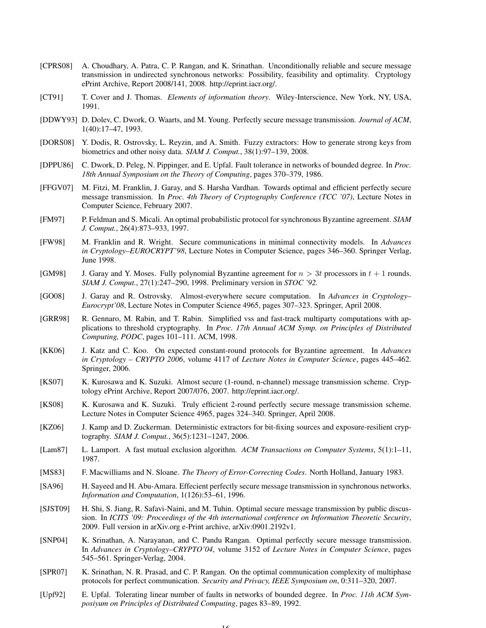- [CPRS08] A. Choudhary, A. Patra, C. P. Rangan, and K. Srinathan. Unconditionally reliable and secure message transmission in undirected synchronous networks: Possibility, feasibility and optimality. Cryptology ePrint Archive, Report 2008/141, 2008. http://eprint.iacr.org/.
- [CT91] T. Cover and J. Thomas. *Elements of information theory*. Wiley-Interscience, New York, NY, USA, 1991.
- [DDWY93] D. Dolev, C. Dwork, O. Waarts, and M. Young. Perfectly secure message transmission. *Journal of ACM*, 1(40):17–47, 1993.
- [DORS08] Y. Dodis, R. Ostrovsky, L. Reyzin, and A. Smith. Fuzzy extractors: How to generate strong keys from biometrics and other noisy data. *SIAM J. Comput.*, 38(1):97–139, 2008.
- [DPPU86] C. Dwork, D. Peleg, N. Pippinger, and E. Upfal. Fault tolerance in networks of bounded degree. In *Proc. 18th Annual Symposium on the Theory of Computing*, pages 370–379, 1986.
- [FFGV07] M. Fitzi, M. Franklin, J. Garay, and S. Harsha Vardhan. Towards optimal and efficient perfectly secure message transmission. In *Proc. 4th Theory of Cryptography Conference (TCC '07)*, Lecture Notes in Computer Science, February 2007.
- [FM97] P. Feldman and S. Micali. An optimal probabilistic protocol for synchronous Byzantine agreement. *SIAM J. Comput.*, 26(4):873–933, 1997.
- [FW98] M. Franklin and R. Wright. Secure communications in minimal connectivity models. In *Advances in Cryptology–EUROCRYPT'98*, Lecture Notes in Computer Science, pages 346–360. Springer Verlag, June 1998.
- [GM98] J. Garay and Y. Moses. Fully polynomial Byzantine agreement for  $n > 3t$  processors in  $t + 1$  rounds. *SIAM J. Comput.*, 27(1):247–290, 1998. Preliminary version in *STOC '92.*
- [GO08] J. Garay and R. Ostrovsky. Almost-everywhere secure computation. In *Advances in Cryptology– Eurocrypt'08*, Lecture Notes in Computer Science 4965, pages 307–323. Springer, April 2008.
- [GRR98] R. Gennaro, M. Rabin, and T. Rabin. Simplified vss and fast-track multiparty computations with applications to threshold cryptography. In *Proc. 17th Annual ACM Symp. on Principles of Distributed Computing, PODC*, pages 101–111. ACM, 1998.
- [KK06] J. Katz and C. Koo. On expected constant-round protocols for Byzantine agreement. In *Advances in Cryptology – CRYPTO 2006*, volume 4117 of *Lecture Notes in Computer Science*, pages 445–462. Springer, 2006.
- [KS07] K. Kurosawa and K. Suzuki. Almost secure (1-round, n-channel) message transmission scheme. Cryptology ePrint Archive, Report 2007/076, 2007. http://eprint.iacr.org/.
- [KS08] K. Kurosawa and K. Suzuki. Truly efficient 2-round perfectly secure message transmission scheme. Lecture Notes in Computer Science 4965, pages 324–340. Springer, April 2008.
- [KZ06] J. Kamp and D. Zuckerman. Deterministic extractors for bit-fixing sources and exposure-resilient cryptography. *SIAM J. Comput.*, 36(5):1231–1247, 2006.
- [Lam87] L. Lamport. A fast mutual exclusion algorithm. *ACM Transactions on Computer Systems*, 5(1):1–11, 1987.
- [MS83] F. Macwilliams and N. Sloane. *The Theory of Error-Correcting Codes*. North Holland, January 1983.
- [SA96] H. Sayeed and H. Abu-Amara. Effecient perfectly secure message transmission in synchronous networks. *Information and Computation*, 1(126):53–61, 1996.
- [SJST09] H. Shi, S. Jiang, R. Safavi-Naini, and M. Tuhin. Optimal secure message transmission by public discussion. In *ICITS '09: Proceedings of the 4th international conference on Information Theoretic Security*, 2009. Full version in arXiv.org e-Print archive, arXiv:0901.2192v1.
- [SNP04] K. Srinathan, A. Narayanan, and C. Pandu Rangan. Optimal perfectly secure message transmission. In *Advances in Cryptology–CRYPTO'04*, volume 3152 of *Lecture Notes in Computer Science*, pages 545–561. Springer-Verlag, 2004.
- [SPR07] K. Srinathan, N. R. Prasad, and C. P. Rangan. On the optimal communication complexity of multiphase protocols for perfect communication. *Security and Privacy, IEEE Symposium on*, 0:311–320, 2007.
- [Upf92] E. Upfal. Tolerating linear number of faults in networks of bounded degree. In *Proc. 11th ACM Symposiyum on Principles of Distributed Computing*, pages 83–89, 1992.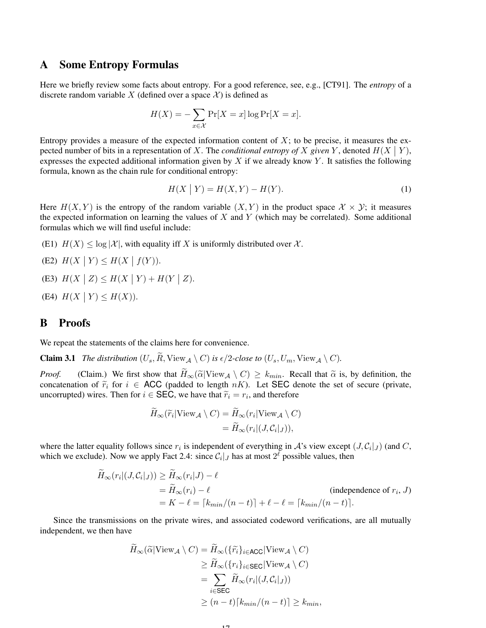### A Some Entropy Formulas

Here we briefly review some facts about entropy. For a good reference, see, e.g., [CT91]. The *entropy* of a discrete random variable X (defined over a space  $\mathcal{X}$ ) is defined as

$$
H(X) = -\sum_{x \in \mathcal{X}} \Pr[X = x] \log \Pr[X = x].
$$

Entropy provides a measure of the expected information content of  $X$ ; to be precise, it measures the expected number of bits in a representation of X. The *conditional entropy of* X *given* Y, denoted  $H(X | Y)$ , expresses the expected additional information given by  $X$  if we already know Y. It satisfies the following formula, known as the chain rule for conditional entropy:

$$
H(X | Y) = H(X, Y) - H(Y).
$$
 (1)

Here  $H(X, Y)$  is the entropy of the random variable  $(X, Y)$  in the product space  $X \times Y$ ; it measures the expected information on learning the values of  $X$  and  $Y$  (which may be correlated). Some additional formulas which we will find useful include:

- (E1)  $H(X) \leq \log |\mathcal{X}|$ , with equality iff X is uniformly distributed over X.
- (E2)  $H(X | Y) \le H(X | f(Y)).$
- (E3)  $H(X | Z) \leq H(X | Y) + H(Y | Z)$ .
- (E4)  $H(X | Y) \le H(X)$ ).

### B Proofs

We repeat the statements of the claims here for convenience.

**Claim 3.1** *The distribution*  $(U_s, \widetilde{R}, \text{View}_{\mathcal{A}} \setminus C)$  *is*  $\epsilon/2$ *-close to*  $(U_s, U_m, \text{View}_{\mathcal{A}} \setminus C)$ *.* 

*Proof.* (Claim.) We first show that  $\widetilde{H}_{\infty}(\widetilde{\alpha}|\text{View}_{\mathcal{A}} \setminus C) \geq k_{min}$ . Recall that  $\widetilde{\alpha}$  is, by definition, the concatenation of  $\tilde{r}_i$  for  $i \in ACC$  (padded to length  $nK$ ). Let SEC denote the set of secure (private, uncorrupted) wires. Then for  $i \in \text{SEC}$ , we have that  $\widetilde{r}_i = r_i$ , and therefore

$$
\widetilde{H}_{\infty}(\widetilde{r}_i | \text{View}_{\mathcal{A}} \setminus C) = \widetilde{H}_{\infty}(r_i | \text{View}_{\mathcal{A}} \setminus C)
$$
  
= 
$$
\widetilde{H}_{\infty}(r_i | (J, C_i | J)),
$$

where the latter equality follows since  $r_i$  is independent of everything in A's view except  $(J, \mathcal{C}_i|_J)$  (and C, which we exclude). Now we apply Fact 2.4: since  $\mathcal{C}_i|_J$  has at most  $2^{\ell}$  possible values, then

$$
\tilde{H}_{\infty}(r_i|(J, \mathcal{C}_i|_J)) \ge \tilde{H}_{\infty}(r_i|J) - \ell
$$
\n
$$
= \tilde{H}_{\infty}(r_i) - \ell \qquad \text{(independence of } r_i, J)
$$
\n
$$
= K - \ell = \lceil k_{min}/(n - t) \rceil + \ell - \ell = \lceil k_{min}/(n - t) \rceil.
$$

Since the transmissions on the private wires, and associated codeword verifications, are all mutually independent, we then have

$$
H_{\infty}(\widetilde{\alpha}|\text{View}_{\mathcal{A}} \setminus C) = H_{\infty}(\{\widetilde{r}_{i}\}_{i \in \text{ACC}}|\text{View}_{\mathcal{A}} \setminus C)
$$
  
\n
$$
\geq \widetilde{H}_{\infty}(\{r_{i}\}_{i \in \text{SEC}}|\text{View}_{\mathcal{A}} \setminus C)
$$
  
\n
$$
= \sum_{i \in \text{SEC}} \widetilde{H}_{\infty}(r_{i}|(J, C_{i}|_{J}))
$$
  
\n
$$
\geq (n - t)[k_{min}/(n - t)] \geq k_{min},
$$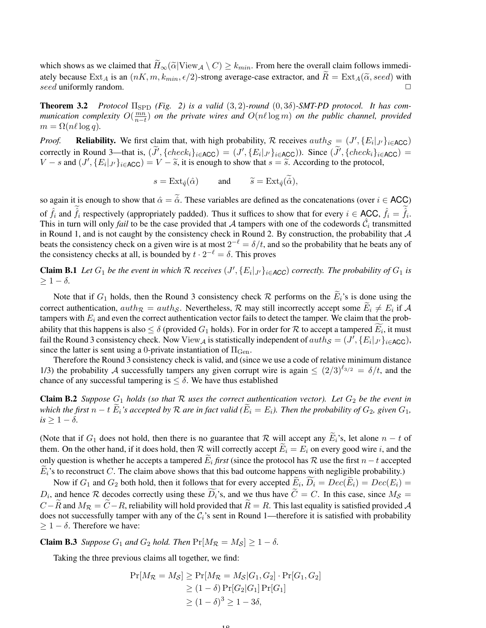which shows as we claimed that  $\widetilde{H}_{\infty}(\widetilde{\alpha}|V_i \text{few}_A \setminus C) \geq k_{min}$ . From here the overall claim follows immediately because  $\text{Ext}_A$  is an  $(nK, m, k_{min}, \epsilon/2)$ -strong average-case extractor, and  $\tilde{R} = \text{Ext}_A(\tilde{\alpha}, seed)$  with seed uniformly random seed uniformly random.

**Theorem 3.2** *Protocol*  $\Pi_{\text{SPD}}$  *(Fig. 2) is a valid*  $(3, 2)$ *-round*  $(0, 3\delta)$ *-SMT-PD protocol. It has communication complexity*  $O(\frac{mn}{n-t})$  *on the private wires and*  $O(n\ell \log m)$  *on the public channel, provided*  $m = \Omega(n\ell \log q)$ .

*Proof.* Reliability. We first claim that, with high probability, R receives  $\alpha u$ th<sub>S</sub> =  $(J', \{E_i | J'\}_{i \in ACC})$ correctly in Round 3—that is,  $(\tilde{J}', \{check_i\}_{i \in \text{ACC}}) = (J', \{E_i | J'\}_{i \in \text{ACC}})$ . Since  $(\tilde{J}', \{check_i\}_{i \in \text{ACC}}) = (J', \{E_i | J'\}_{i \in \text{ACC}})$ .  $V - s$  and  $(J', \{E_i | J'\}_{i \in \text{ACC}}) = V - \tilde{s}$ , it is enough to show that  $s = \tilde{s}$ . According to the protocol,

$$
s = \text{Ext}_{\hat{q}}(\hat{\alpha}) \qquad \text{and} \qquad \widetilde{s} = \text{Ext}_{\hat{q}}(\hat{\alpha}),
$$

so again it is enough to show that  $\hat{\alpha} = \tilde{\alpha}$ . These variables are defined as the concatenations (over  $i \in ACC$ ) of  $\hat{f}_i$  and  $\hat{f}_i$  respectively (appropriately padded). Thus it suffices to show that for every  $i \in \text{ACC}$ ,  $\hat{f}_i = \hat{f}_i$ . This in turn will only *fail* to be the case provided that A tampers with one of the codewords  $\hat{C}_i$  transmitted in Round 1, and is not caught by the consistency check in Round 2. By construction, the probability that  $A$ beats the consistency check on a given wire is at most  $2^{-\ell} = \delta/t$ , and so the probability that he beats any of the consistency checks at all, is bounded by  $t \cdot 2^{-\ell} = \delta$ . This proves

**Claim B.1** Let  $G_1$  be the event in which R receives  $(J', \{E_i|_{J'}\}_{i \in ACC})$  correctly. The probability of  $G_1$  is  $\geq 1-\delta$ .

Note that if  $G_1$  holds, then the Round 3 consistency check R performs on the  $\widetilde{E}_i$ 's is done using the correct authentication,  $auth_{\mathcal{R}} = auth_{\mathcal{S}}$ . Nevertheless,  $\mathcal{R}$  may still incorrectly accept some  $E_i \neq E_i$  if  $\mathcal{A}$ tampers with  $E_i$  and even the correct authentication vector fails to detect the tamper. We claim that the probability that this happens is also  $\leq \delta$  (provided  $G_1$  holds). For in order for  $R$  to accept a tampered  $E_i$ , it must fail the Round 3 consistency check. Now View<sub>A</sub> is statistically independent of  $auth_{\mathcal{S}} = (J^{\overline{I}}, \{E_i|_{J^{\prime}}\}_{i \in \text{ACC}})$ , since the latter is sent using a 0-private instantiation of  $\Pi_{\text{Gen}}$ .

Therefore the Round 3 consistency check is valid, and (since we use a code of relative minimum distance 1/3) the probability A successfully tampers any given corrupt wire is again  $\leq (2/3)^{\ell_{3/2}} = \delta/t$ , and the chance of any successful tampering is  $\leq \delta$ . We have thus established

**Claim B.2** *Suppose*  $G_1$  *holds* (so that R uses the correct authentication vector). Let  $G_2$  be the event in *which the first*  $n - t \widetilde{E}_i$ 's accepted by R are in fact valid ( $\widetilde{E}_i = E_i$ ). Then the probability of  $G_2$ , given  $G_1$ ,  $is > 1 - \delta$ .

(Note that if  $G_1$  does not hold, then there is no guarantee that R will accept any  $\widetilde{E}_i$ 's, let alone  $n - t$  of them. On the other hand, if it does hold, then R will correctly accept  $E_i = E_i$  on every good wire i, and the only question is whether he accepts a tampered  $E_i$  *first* (since the protocol has R use the first  $n-t$  accepted  $\widetilde{E}_i$ 's to reconstruct C. The claim above shows that this bad outcome happens with negligible probability.)

Now if  $G_1$  and  $G_2$  both hold, then it follows that for every accepted  $E_i$ ,  $D_i = Dec(E_i) = Dec(E_i)$  $D_i$ , and hence R decodes correctly using these  $D_i$ 's, and we thus have  $C = C$ . In this case, since  $M_S = \tilde{C}$  $C-\widetilde{R}$  and  $M_{\mathcal{R}}=\widetilde{C}-R$ , reliability will hold provided that  $\widetilde{R}=R$ . This last equality is satisfied provided A does not successfully tamper with any of the  $C_i$ 's sent in Round 1—therefore it is satisfied with probability  $\geq 1 - \delta$ . Therefore we have:

**Claim B.3** *Suppose*  $G_1$  *and*  $G_2$  *hold. Then*  $Pr[M_R = M_S] \geq 1 - \delta$ *.* 

Taking the three previous claims all together, we find:

$$
Pr[M_{\mathcal{R}} = M_{\mathcal{S}}] \ge Pr[M_{\mathcal{R}} = M_{\mathcal{S}}|G_1, G_2] \cdot Pr[G_1, G_2]
$$

$$
\ge (1 - \delta) Pr[G_2|G_1] Pr[G_1]
$$

$$
\ge (1 - \delta)^3 \ge 1 - 3\delta,
$$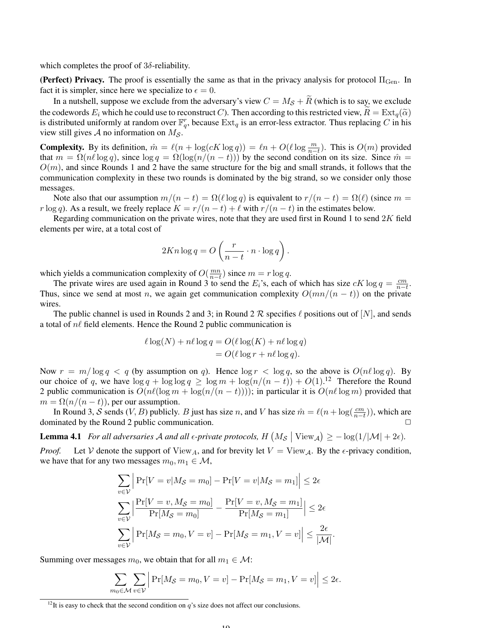which completes the proof of  $3\delta$ -reliability.

(Perfect) Privacy. The proof is essentially the same as that in the privacy analysis for protocol  $\Pi_{\text{Gen}}$ . In fact it is simpler, since here we specialize to  $\epsilon = 0$ .

In a nutshell, suppose we exclude from the adversary's view  $C = M_S + \widetilde{R}$  (which is to say, we exclude the codewords  $E_i$  which he could use to reconstruct C). Then according to this restricted view,  $\tilde{R} = \text{Ext}_q(\tilde{\alpha})$ is distributed uniformly at random over  $\mathbb{F}_q^r$ , because  $\text{Ext}_q$  is an error-less extractor. Thus replacing C in his view still gives A no information on  $M_{\mathcal{S}}$ .

**Complexity.** By its definition,  $\hat{m} = \ell(n + \log(cK \log q)) = \ell n + O(\ell \log \frac{m}{n-t})$ . This is  $O(m)$  provided that  $m = \Omega(n\ell \log q)$ , since  $\log q = \Omega(\log(n/(n - t)))$  by the second condition on its size. Since  $\hat{m} =$  $O(m)$ , and since Rounds 1 and 2 have the same structure for the big and small strands, it follows that the communication complexity in these two rounds is dominated by the big strand, so we consider only those messages.

Note also that our assumption  $m/(n - t) = \Omega(\ell \log q)$  is equivalent to  $r/(n - t) = \Omega(\ell)$  (since  $m =$ r log q). As a result, we freely replace  $K = r/(n - t) + \ell$  with  $r/(n - t)$  in the estimates below.

Regarding communication on the private wires, note that they are used first in Round 1 to send  $2K$  field elements per wire, at a total cost of

$$
2Kn\log q = O\left(\frac{r}{n-t} \cdot n \cdot \log q\right).
$$

which yields a communication complexity of  $O(\frac{mn}{n-t})$  since  $m = r \log q$ .

The private wires are used again in Round 3 to send the  $E_i$ 's, each of which has size  $cK \log q = \frac{cm}{n-t}$ . Thus, since we send at most n, we again get communication complexity  $O(mn/(n-t))$  on the private wires.

The public channel is used in Rounds 2 and 3; in Round 2 R specifies  $\ell$  positions out of  $[N]$ , and sends a total of  $n\ell$  field elements. Hence the Round 2 public communication is

$$
\ell \log(N) + n\ell \log q = O(\ell \log(K) + n\ell \log q)
$$
  
= O(\ell \log r + n\ell \log q).

Now  $r = m/\log q < q$  (by assumption on q). Hence  $\log r < \log q$ , so the above is  $O(n\ell \log q)$ . By our choice of q, we have  $\log q + \log \log q \ge \log m + \log(n/(n-t)) + O(1).$ <sup>12</sup> Therefore the Round 2 public communication is  $O(n\ell(\log m + \log(n/(n - t))))$ ; in particular it is  $O(n\ell \log m)$  provided that  $m = \Omega(n/(n - t))$ , per our assumption.

In Round 3, S sends (V, B) publicly. B just has size n, and V has size  $\hat{m} = \ell(n + \log(\frac{cm}{n-t}))$ , which are  $d$  dominated by the Round 2 public communication.  $\Box$ 

**Lemma 4.1** For all adversaries A and all  $\epsilon$ -private protocols,  $H(M_{\mathcal{S}} | \text{View}_{\mathcal{A}}) \ge -\log(1/|\mathcal{M}| + 2\epsilon)$ .

*Proof.* Let V denote the support of View<sub>A</sub>, and for brevity let  $V =$  View<sub>A</sub>. By the  $\epsilon$ -privacy condition, we have that for any two messages  $m_0, m_1 \in \mathcal{M}$ ,

$$
\sum_{v \in \mathcal{V}} \left| \Pr[V = v | M_S = m_0] - \Pr[V = v | M_S = m_1] \right| \le 2\epsilon
$$
  

$$
\sum_{v \in \mathcal{V}} \left| \frac{\Pr[V = v, M_S = m_0]}{\Pr[M_S = m_0]} - \frac{\Pr[V = v, M_S = m_1]}{\Pr[M_S = m_1]} \right| \le 2\epsilon
$$
  

$$
\sum_{v \in \mathcal{V}} \left| \Pr[M_S = m_0, V = v] - \Pr[M_S = m_1, V = v] \right| \le \frac{2\epsilon}{|\mathcal{M}|}.
$$

Summing over messages  $m_0$ , we obtain that for all  $m_1 \in \mathcal{M}$ :

$$
\sum_{m_0 \in \mathcal{M}} \sum_{v \in \mathcal{V}} \left| \Pr[M_{\mathcal{S}} = m_0, V = v] - \Pr[M_{\mathcal{S}} = m_1, V = v] \right| \le 2\epsilon.
$$

 $12$ It is easy to check that the second condition on q's size does not affect our conclusions.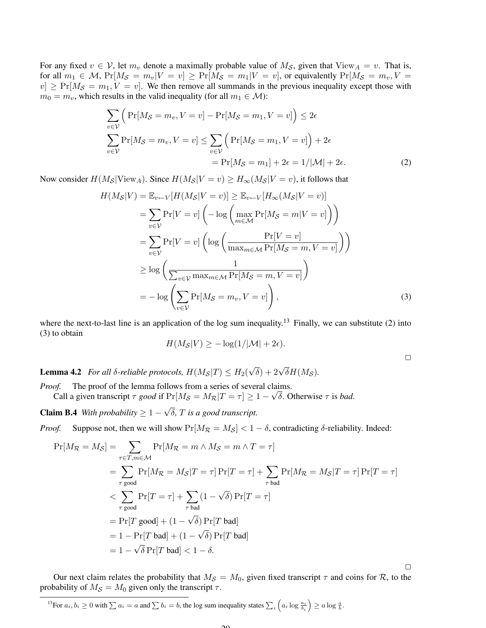For any fixed  $v \in V$ , let  $m_v$  denote a maximally probable value of  $M_s$ , given that View  $A = v$ . That is, for all  $m_1 \in \mathcal{M}$ ,  $Pr[M_S = m_v | V = v] \ge Pr[M_S = m_1 | V = v]$ , or equivalently  $Pr[M_S = m_v, V = v]$  $v$   $\geq$   $Pr[M_{\mathcal{S}} = m_1, V = v]$ . We then remove all summands in the previous inequality except those with  $m_0 = m_v$ , which results in the valid inequality (for all  $m_1 \in \mathcal{M}$ ):

$$
\sum_{v \in V} \Big( \Pr[M_{\mathcal{S}} = m_v, V = v] - \Pr[M_{\mathcal{S}} = m_1, V = v] \Big) \le 2\epsilon
$$
  

$$
\sum_{v \in V} \Pr[M_{\mathcal{S}} = m_v, V = v] \le \sum_{v \in V} \Big( \Pr[M_{\mathcal{S}} = m_1, V = v] \Big) + 2\epsilon
$$
  

$$
= \Pr[M_{\mathcal{S}} = m_1] + 2\epsilon = 1/|\mathcal{M}| + 2\epsilon.
$$
 (2)

Now consider  $H(M_S|View_A)$ . Since  $H(M_S|V = v) \ge H_\infty(M_S|V = v)$ , it follows that

$$
H(M_{\mathcal{S}}|V) = \mathbb{E}_{v \leftarrow V} [H(M_{\mathcal{S}}|V = v)] \ge \mathbb{E}_{v \leftarrow V} [H_{\infty}(M_{\mathcal{S}}|V = v)]
$$
  
\n
$$
= \sum_{v \in V} \Pr[V = v] \left( -\log \left( \max_{m \in \mathcal{M}} \Pr[M_{\mathcal{S}} = m|V = v] \right) \right)
$$
  
\n
$$
= \sum_{v \in V} \Pr[V = v] \left( \log \left( \frac{\Pr[V = v]}{\max_{m \in \mathcal{M}} \Pr[M_{\mathcal{S}} = m, V = v]} \right) \right)
$$
  
\n
$$
\ge \log \left( \frac{1}{\sum_{v \in V} \max_{m \in \mathcal{M}} \Pr[M_{\mathcal{S}} = m, V = v]} \right)
$$
  
\n
$$
= -\log \left( \sum_{v \in V} \Pr[M_{\mathcal{S}} = m_v, V = v] \right),
$$
 (3)

where the next-to-last line is an application of the log sum inequality.<sup>13</sup> Finally, we can substitute (2) into (3) to obtain

$$
H(M_{\mathcal{S}}|V) \geq -\log(1/|\mathcal{M}| + 2\epsilon).
$$

**Lemma 4.2** *For all*  $\delta$ *-reliable protocols,*  $H(M_{\mathcal{S}}|T) \leq H_2(\delta)$  $\sqrt{\delta}$ ) + 2 $\sqrt{\delta}H(M_{\mathcal{S}})$ .

*Proof.* The proof of the lemma follows from a series of several claims. Call a given transcript  $\tau$  *good* if  $Pr[M_{\mathcal{S}} = M_{\mathcal{R}} | T = \tau] \ge 1 - \sqrt{\delta}$ . Otherwise  $\tau$  is *bad*. √

**Claim B.4** *With probability*  $\geq 1$  – δ*,* T *is a good transcript.*

*Proof.* Suppose not, then we will show  $Pr[M_R = M_S] < 1 - \delta$ , contradicting  $\delta$ -reliability. Indeed:

$$
\Pr[M_{\mathcal{R}} = M_{\mathcal{S}}] = \sum_{\tau \in T, m \in \mathcal{M}} \Pr[M_{\mathcal{R}} = m \wedge M_{\mathcal{S}} = m \wedge T = \tau]
$$
  
\n
$$
= \sum_{\tau \text{ good}} \Pr[M_{\mathcal{R}} = M_{\mathcal{S}} | T = \tau] \Pr[T = \tau] + \sum_{\tau \text{ bad}} \Pr[M_{\mathcal{R}} = M_{\mathcal{S}} | T = \tau] \Pr[T = \tau]
$$
  
\n
$$
< \sum_{\tau \text{ good}} \Pr[T = \tau] + \sum_{\tau \text{ bad}} (1 - \sqrt{\delta}) \Pr[T = \tau]
$$
  
\n
$$
= \Pr[T \text{ good}] + (1 - \sqrt{\delta}) \Pr[T \text{ bad}]
$$
  
\n
$$
= 1 - \Pr[T \text{ bad}] + (1 - \sqrt{\delta}) \Pr[T \text{ bad}]
$$
  
\n
$$
= 1 - \sqrt{\delta} \Pr[T \text{ bad}] < 1 - \delta.
$$

 $\Box$ 

Our next claim relates the probability that  $M_{\mathcal{S}} = M_0$ , given fixed transcript  $\tau$  and coins for R, to the probability of  $M_{\mathcal{S}} = M_0$  given only the transcript  $\tau$ .

<sup>&</sup>lt;sup>13</sup>For  $a_i, b_i \ge 0$  with  $\sum a_i = a$  and  $\sum b_i = b$ , the log sum inequality states  $\sum_i \left( a_i \log \frac{a_i}{b_i} \right) \ge a \log \frac{a}{b}$ .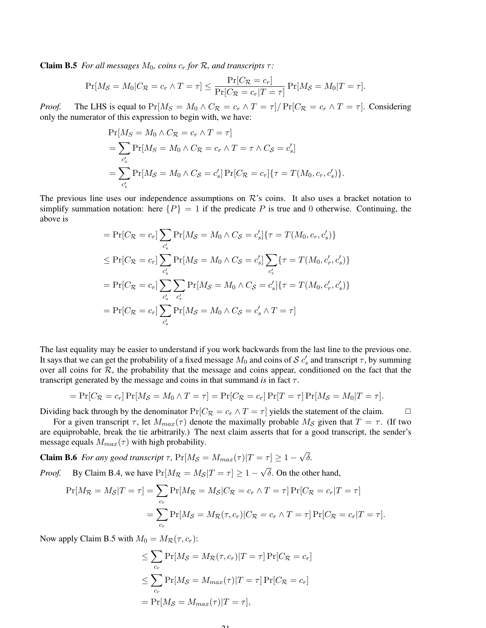**Claim B.5** *For all messages*  $M_0$ *, coins*  $c_r$  *for*  $\mathcal{R}$ *, and transcripts*  $\tau$ *:* 

$$
\Pr[M_{\mathcal{S}} = M_0 | C_{\mathcal{R}} = c_r \wedge T = \tau] \leq \frac{\Pr[C_{\mathcal{R}} = c_r]}{\Pr[C_{\mathcal{R}} = c_r | T = \tau]} \Pr[M_{\mathcal{S}} = M_0 | T = \tau].
$$

*Proof.* The LHS is equal to  $Pr[M_S = M_0 \wedge C_{\mathcal{R}} = c_r \wedge T = \tau] / Pr[C_{\mathcal{R}} = c_r \wedge T = \tau]$ . Considering only the numerator of this expression to begin with, we have:

$$
\Pr[M_S = M_0 \wedge C_{\mathcal{R}} = c_r \wedge T = \tau]
$$
  
= 
$$
\sum_{c'_s} \Pr[M_S = M_0 \wedge C_{\mathcal{R}} = c_r \wedge T = \tau \wedge C_{\mathcal{S}} = c'_s]
$$
  
= 
$$
\sum_{c'_s} \Pr[M_S = M_0 \wedge C_{\mathcal{S}} = c'_s] \Pr[C_{\mathcal{R}} = c_r] \{\tau = T(M_0, c_r, c'_s)\}.
$$

The previous line uses our independence assumptions on  $\mathcal{R}$ 's coins. It also uses a bracket notation to simplify summation notation: here  $\{P\} = 1$  if the predicate P is true and 0 otherwise. Continuing, the above is

$$
= \Pr[C_{\mathcal{R}} = c_r] \sum_{c'_s} \Pr[M_{\mathcal{S}} = M_0 \wedge C_{\mathcal{S}} = c'_s] \{ \tau = T(M_0, c_r, c'_s) \}
$$
  
\n
$$
\leq \Pr[C_{\mathcal{R}} = c_r] \sum_{c'_s} \Pr[M_{\mathcal{S}} = M_0 \wedge C_{\mathcal{S}} = c'_s] \sum_{c'_r} \{ \tau = T(M_0, c'_r, c'_s) \}
$$
  
\n
$$
= \Pr[C_{\mathcal{R}} = c_r] \sum_{c'_s} \sum_{c'_r} \Pr[M_{\mathcal{S}} = M_0 \wedge C_{\mathcal{S}} = c'_s] \{ \tau = T(M_0, c'_r, c'_s) \}
$$
  
\n
$$
= \Pr[C_{\mathcal{R}} = c_r] \sum_{c'_s} \Pr[M_{\mathcal{S}} = M_0 \wedge C_{\mathcal{S}} = c'_s \wedge T = \tau]
$$

The last equality may be easier to understand if you work backwards from the last line to the previous one. It says that we can get the probability of a fixed message  $M_0$  and coins of  $\mathcal{S}$   $c'_s$  and transcript  $\tau$ , by summing over all coins for  $R$ , the probability that the message and coins appear, conditioned on the fact that the transcript generated by the message and coins in that summand *is* in fact  $\tau$ .

$$
= \Pr[C_{\mathcal{R}} = c_r] \Pr[M_{\mathcal{S}} = M_0 \wedge T = \tau] = \Pr[C_{\mathcal{R}} = c_r] \Pr[T = \tau] \Pr[M_{\mathcal{S}} = M_0 | T = \tau].
$$

Dividing back through by the denominator  $Pr[C_{\mathcal{R}} = c_r \land T = \tau]$  yields the statement of the claim.  $\Box$ 

For a given transcript  $\tau$ , let  $M_{max}(\tau)$  denote the maximally probable  $M_{\mathcal{S}}$  given that  $T = \tau$ . (If two are equiprobable, break the tie arbitrarily.) The next claim asserts that for a good transcript, the sender's message equals  $M_{max}(\tau)$  with high probability.

**Claim B.6** *For any good transcript*  $\tau$ ,  $Pr[M_{\mathcal{S}} = M_{max}(\tau) | T = \tau] \ge 1 - \tau$ √ δ*.* √

*Proof.* By Claim B.4, we have  $Pr[M_{\mathcal{R}} = M_{\mathcal{S}} | T = \tau] \ge 1 - \tau$  $\delta$ . On the other hand,

$$
\Pr[M_{\mathcal{R}} = M_{\mathcal{S}}|T = \tau] = \sum_{c_r} \Pr[M_{\mathcal{R}} = M_{\mathcal{S}}|C_{\mathcal{R}} = c_r \wedge T = \tau] \Pr[C_{\mathcal{R}} = c_r | T = \tau]
$$

$$
= \sum_{c_r} \Pr[M_{\mathcal{S}} = M_{\mathcal{R}}(\tau, c_r) | C_{\mathcal{R}} = c_r \wedge T = \tau] \Pr[C_{\mathcal{R}} = c_r | T = \tau].
$$

Now apply Claim B.5 with  $M_0 = M_{\mathcal{R}}(\tau, c_r)$ :

$$
\leq \sum_{c_r} \Pr[M_{\mathcal{S}} = M_{\mathcal{R}}(\tau, c_r)|T = \tau] \Pr[C_{\mathcal{R}} = c_r]
$$
  

$$
\leq \sum_{c_r} \Pr[M_{\mathcal{S}} = M_{max}(\tau)|T = \tau] \Pr[C_{\mathcal{R}} = c_r]
$$
  

$$
= \Pr[M_{\mathcal{S}} = M_{max}(\tau)|T = \tau],
$$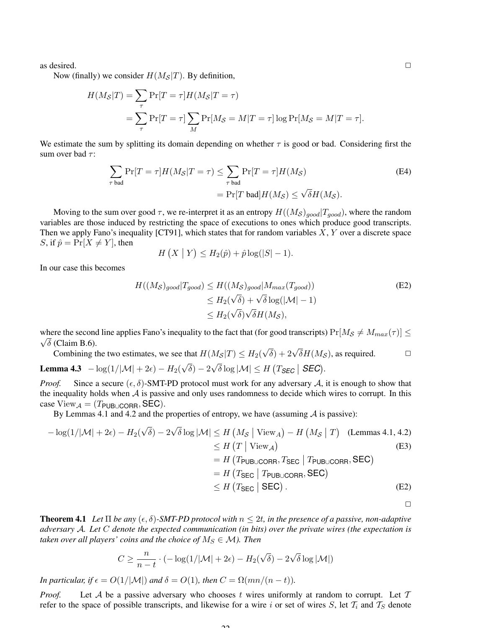as desired.  $\Box$ 

Now (finally) we consider  $H(M_S|T)$ . By definition,

$$
H(M_{\mathcal{S}}|T) = \sum_{\tau} \Pr[T = \tau] H(M_{\mathcal{S}}|T = \tau)
$$
  
= 
$$
\sum_{\tau} \Pr[T = \tau] \sum_{M} \Pr[M_{\mathcal{S}} = M|T = \tau] \log \Pr[M_{\mathcal{S}} = M|T = \tau].
$$

We estimate the sum by splitting its domain depending on whether  $\tau$  is good or bad. Considering first the sum over bad  $\tau$ :

$$
\sum_{\tau \text{ bad}} \Pr[T = \tau] H(M_{\mathcal{S}} | T = \tau) \le \sum_{\tau \text{ bad}} \Pr[T = \tau] H(M_{\mathcal{S}})
$$
\n
$$
= \Pr[T \text{ bad}] H(M_{\mathcal{S}}) \le \sqrt{\delta} H(M_{\mathcal{S}}).
$$
\n(B4)

Moving to the sum over good  $\tau$ , we re-interpret it as an entropy  $H((M_{\mathcal{S}})_{good}|T_{good})$ , where the random variables are those induced by restricting the space of executions to ones which produce good transcripts. Then we apply Fano's inequality [CT91], which states that for random variables  $X, Y$  over a discrete space S, if  $\hat{p} = \Pr[X \neq Y]$ , then

$$
H(X | Y) \leq H_2(\hat{p}) + \hat{p} \log(|S| - 1).
$$

In our case this becomes

$$
H((M_S)_{good} | T_{good}) \le H((M_S)_{good} | M_{max}(T_{good}))
$$
  
\n
$$
\le H_2(\sqrt{\delta}) + \sqrt{\delta} \log(|\mathcal{M}| - 1)
$$
  
\n
$$
\le H_2(\sqrt{\delta})\sqrt{\delta}H(M_S),
$$
\n(E2)

where the second line applies Fano's inequality to the fact that (for good transcripts)  $Pr[M_S \neq M_{max}(\tau)] \leq$  $\sqrt{\delta}$  (Claim B.6).

Combining the two estimates, we see that  $H(M_{\mathcal{S}}|T) \leq H_2(M)$  $\sqrt{\delta}$ ) + 2 $\sqrt{\delta}H(M_{\mathcal{S}})$ , as required.  $\Box$ 

**Lemma 4.3**  $-\log(1/|\mathcal{M}| + 2\epsilon) - H_2($ √  $\delta$ ) – 2 √  $\delta \log |\mathcal{M}| \leq H \left(T_{\text{SEC}} \mid \text{SEC} \right).$ 

*Proof.* Since a secure  $(\epsilon, \delta)$ -SMT-PD protocol must work for any adversary A, it is enough to show that the inequality holds when  $A$  is passive and only uses randomness to decide which wires to corrupt. In this case View<sub>A</sub> = (T<sub>PUB∪CORR</sub>, SEC).

By Lemmas 4.1 and 4.2 and the properties of entropy, we have (assuming  $A$  is passive):

$$
-\log(1/|\mathcal{M}| + 2\epsilon) - H_2(\sqrt{\delta}) - 2\sqrt{\delta} \log |\mathcal{M}| \le H (M_S | View_A) - H (M_S | T)
$$
 (Lemma 4.1, 4.2)  
\n
$$
\le H (T | View_A)
$$
\n
$$
= H (T_{\text{PUBUCORR}}, T_{\text{SEC}} | T_{\text{PUBUCORR}}, \text{SEC})
$$
\n
$$
= H (T_{\text{SEC}} | T_{\text{PUBUCORR}}, \text{SEC})
$$
\n
$$
\le H (T_{\text{SEC}} | SEC).
$$
\n(E2)

 $\Box$ 

**Theorem 4.1** *Let*  $\Pi$  *be any* ( $\epsilon$ ,  $\delta$ )-SMT-PD protocol with  $n \leq 2t$ , in the presence of a passive, non-adaptive *adversary* A*. Let* C *denote the expected communication (in bits) over the private wires (the expectation is taken over all players' coins and the choice of*  $M_S \in \mathcal{M}$ *). Then* 

$$
C \ge \frac{n}{n-t} \cdot (-\log(1/|\mathcal{M}| + 2\epsilon) - H_2(\sqrt{\delta}) - 2\sqrt{\delta} \log |\mathcal{M}|)
$$

*In particular, if*  $\epsilon = O(1/|\mathcal{M}|)$  *and*  $\delta = O(1)$ *, then*  $C = \Omega(mn/(n-t))$ *.* 

*Proof.* Let A be a passive adversary who chooses t wires uniformly at random to corrupt. Let  $T$ refer to the space of possible transcripts, and likewise for a wire i or set of wires S, let  $T_i$  and  $T_S$  denote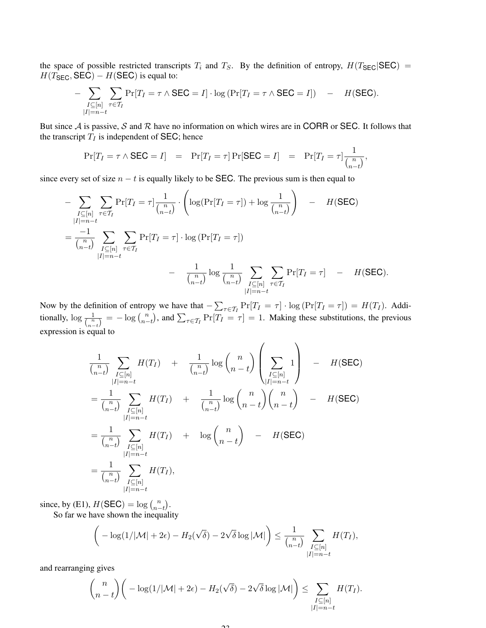the space of possible restricted transcripts  $T_i$  and  $T_S$ . By the definition of entropy,  $H(T_{\text{SEC}}|\text{SEC})$  =  $H(T<sub>SEC</sub>, SEC) - H(SEC)$  is equal to:

$$
- \sum_{\substack{I \subseteq [n] \\ |I| = n-t}} \sum_{\tau \in \mathcal{T}_I} \Pr[T_I = \tau \wedge \text{SEC} = I] \cdot \log \left( \Pr[T_I = \tau \wedge \text{SEC} = I] \right) - H(\text{SEC}).
$$

But since  $A$  is passive,  $S$  and  $R$  have no information on which wires are in CORR or SEC. It follows that the transcript  $T_I$  is independent of SEC; hence

$$
\Pr[T_I = \tau \wedge \text{SEC} = I] = \Pr[T_I = \tau] \Pr[\text{SEC} = I] = \Pr[T_I = \tau] \frac{1}{\binom{n}{n-t}},
$$

since every set of size  $n - t$  is equally likely to be SEC. The previous sum is then equal to

$$
-\sum_{\substack{I \subseteq [n] \\ |I| = n-t}} \sum_{\tau \in \mathcal{T}_I} \Pr[T_I = \tau] \frac{1}{\binom{n}{n-t}} \cdot \left( \log(\Pr[T_I = \tau]) + \log \frac{1}{\binom{n}{n-t}} \right) - H(\text{SEC})
$$
  

$$
= \frac{-1}{\binom{n}{n-t}} \sum_{\substack{I \subseteq [n] \\ |I| = n-t}} \sum_{\tau \in \mathcal{T}_I} \Pr[T_I = \tau] \cdot \log(\Pr[T_I = \tau])
$$
  

$$
- \frac{1}{\binom{n}{n-t}} \log \frac{1}{\binom{n}{n-t}} \sum_{\substack{I \subseteq [n] \\ |I| = n-t}} \sum_{\tau \in \mathcal{T}_I} \Pr[T_I = \tau] - H(\text{SEC}).
$$

Now by the definition of entropy we have that  $-\sum_{\tau \in \mathcal{T}_I} \Pr[T_I = \tau] \cdot \log(\Pr[T_I = \tau]) = H(T_I)$ . Additionally,  $\log \frac{1}{\binom{n}{n-t}} = -\log \binom{n}{n-t}$  $\sum_{\tau \in \mathcal{T}_I}^n \Pr[T_I = \tau] = 1$ . Making these substitutions, the previous expression is equal to

$$
\frac{1}{\binom{n}{n-t}} \sum_{\substack{I \subseteq [n] \\ |I| = n-t}} H(T_I) + \frac{1}{\binom{n}{n-t}} \log \binom{n}{n-t} \left( \sum_{\substack{I \subseteq [n] \\ |I| = n-t}} 1 \right) - H(\text{SEC})
$$
\n
$$
= \frac{1}{\binom{n}{n-t}} \sum_{\substack{I \subseteq [n] \\ |I| = n-t}} H(T_I) + \frac{1}{\binom{n}{n-t}} \log \binom{n}{n-t} \binom{n}{n-t} - H(\text{SEC})
$$
\n
$$
= \frac{1}{\binom{n}{n-t}} \sum_{\substack{I \subseteq [n] \\ |I| = n-t}} H(T_I) + \log \binom{n}{n-t} - H(\text{SEC})
$$
\n
$$
= \frac{1}{\binom{n}{n-t}} \sum_{\substack{I \subseteq [n] \\ |I| = n-t}} H(T_I),
$$

since, by (E1),  $H(SEC) = \log \binom{n}{n}$  $\binom{n}{n-t}$ . So far we have shown the inequality

$$
\left(-\log(1/|\mathcal{M}| + 2\epsilon) - H_2(\sqrt{\delta}) - 2\sqrt{\delta}\log|\mathcal{M}| \right) \leq \frac{1}{\binom{n}{n-t}} \sum_{\substack{I \subseteq [n] \\ |I| = n-t}} H(T_I),
$$

and rearranging gives

$$
\binom{n}{n-t}\bigg(-\log(1/|\mathcal{M}|+2\epsilon)-H_2(\sqrt{\delta})-2\sqrt{\delta}\log|\mathcal{M}|\bigg)\leq \sum_{\substack{I\subseteq [n]\\|I|=n-t}}H(T_I).
$$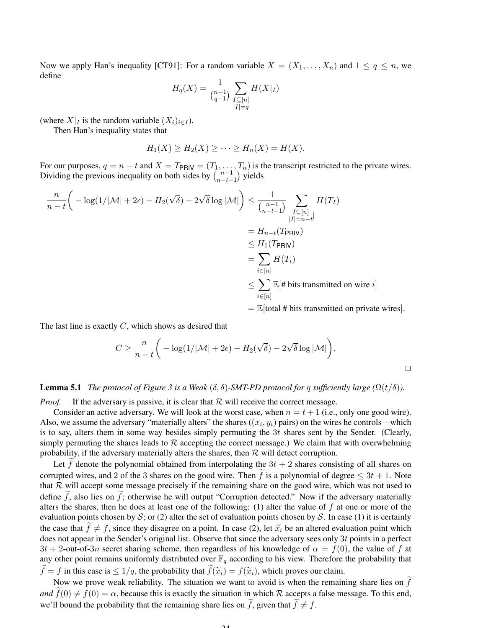Now we apply Han's inequality [CT91]: For a random variable  $X = (X_1, \ldots, X_n)$  and  $1 \le q \le n$ , we define

$$
H_q(X) = \frac{1}{\binom{n-1}{q-1}} \sum_{\substack{I \subseteq [n] \\ |I| = q}} H(X|_I)
$$

(where  $X|_I$  is the random variable  $(X_i)_{i\in I}$ ).

Then Han's inequality states that

$$
H_1(X) \ge H_2(X) \ge \cdots \ge H_n(X) = H(X).
$$

For our purposes,  $q = n - t$  and  $X = T_{PRIV} = (T_1, \ldots, T_n)$  is the transcript restricted to the private wires. Dividing the previous inequality on both sides by  $\binom{n-1}{n-t}$  $_{n-t-1}^{n-1}$ ) yields

$$
\frac{n}{n-t} \left( -\log(1/|\mathcal{M}| + 2\epsilon) - H_2(\sqrt{\delta}) - 2\sqrt{\delta} \log |\mathcal{M}| \right) \le \frac{1}{\binom{n-1}{n-t-1}} \sum_{\substack{I \subseteq [n] \\ |I| = n-t}} H(T_I)
$$
\n
$$
= H_{n-t}(T_{\text{PRIV}})
$$
\n
$$
\le H_1(T_{\text{PRIV}})
$$
\n
$$
= \sum_{i \in [n]} H(T_i)
$$
\n
$$
\le \sum_{i \in [n]} \mathbb{E}[\# \text{ bits transmitted on wire } i]
$$
\n
$$
= \mathbb{E}[\text{total } \# \text{ bits transmitted on private wires}].
$$

The last line is exactly  $C$ , which shows as desired that

$$
C \ge \frac{n}{n-t} \bigg( -\log(1/|\mathcal{M}| + 2\epsilon) - H_2(\sqrt{\delta}) - 2\sqrt{\delta} \log |\mathcal{M}| \bigg).
$$

#### **Lemma 5.1** *The protocol of Figure 3 is a Weak*  $(\delta, \delta)$ -*SMT-PD protocol for q sufficiently large*  $(\Omega(t/\delta))$ .

*Proof.* If the adversary is passive, it is clear that  $R$  will receive the correct message.

Consider an active adversary. We will look at the worst case, when  $n = t + 1$  (i.e., only one good wire). Also, we assume the adversary "materially alters" the shares  $((x_i, y_i)$  pairs) on the wires he controls—which is to say, alters them in some way besides simply permuting the 3t shares sent by the Sender. (Clearly, simply permuting the shares leads to  $R$  accepting the correct message.) We claim that with overwhelming probability, if the adversary materially alters the shares, then  $R$  will detect corruption.

Let f denote the polynomial obtained from interpolating the  $3t + 2$  shares consisting of all shares on corrupted wires, and 2 of the 3 shares on the good wire. Then f is a polynomial of degree  $\leq 3t + 1$ . Note that  $R$  will accept some message precisely if the remaining share on the good wire, which was not used to define  $\hat{f}$ , also lies on  $\hat{f}$ ; otherwise he will output "Corruption detected." Now if the adversary materially alters the shares, then he does at least one of the following: (1) alter the value of  $f$  at one or more of the evaluation points chosen by S; or (2) alter the set of evaluation points chosen by S. In case (1) it is certainly the case that  $\tilde{f} \neq f$ , since they disagree on a point. In case (2), let  $\tilde{x}_i$  be an altered evaluation point which does not appear in the Sender's original list. Observe that since the adversary sees only 3t points in a perfect  $3t + 2$ -out-of-3n secret sharing scheme, then regardless of his knowledge of  $\alpha = f(0)$ , the value of f at any other point remains uniformly distributed over  $\mathbb{F}_q$  according to his view. Therefore the probability that  $f = f$  in this case is  $\leq 1/q$ , the probability that  $f(\tilde{x}_i) = f(\tilde{x}_i)$ , which proves our claim.

Now we prove weak reliability. The situation we want to avoid is when the remaining share lies on  $\hat{f}$ *and*  $f(0) \neq f(0) = \alpha$ , because this is exactly the situation in which R accepts a false message. To this end, we'll bound the probability that the remaining share lies on  $\tilde{f}$ , given that  $\tilde{f} \neq f$ .